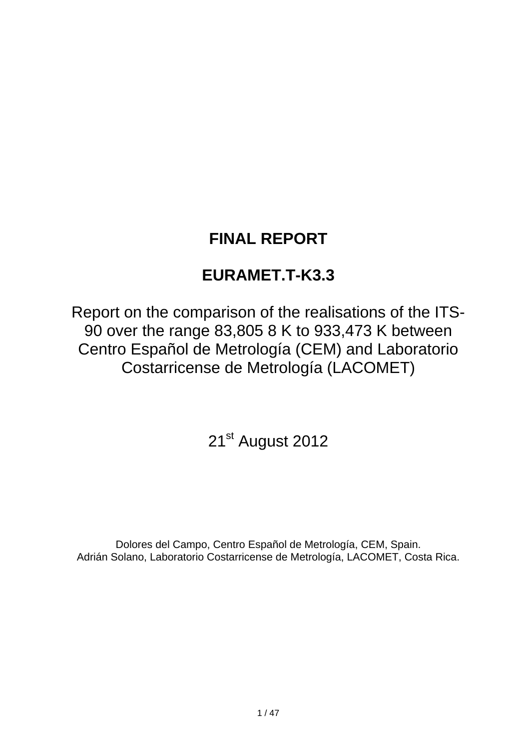# **FINAL REPORT**

# **EURAMET.T-K3.3**

Report on the comparison of the realisations of the ITS-90 over the range 83,805 8 K to 933,473 K between Centro Español de Metrología (CEM) and Laboratorio Costarricense de Metrología (LACOMET)

21<sup>st</sup> August 2012

Dolores del Campo, Centro Español de Metrología, CEM, Spain. Adrián Solano, Laboratorio Costarricense de Metrología, LACOMET, Costa Rica.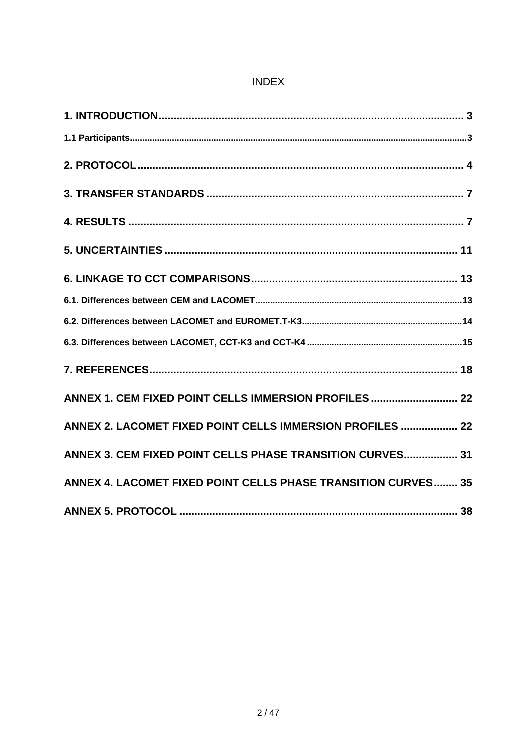## **INDEX**

| ANNEX 1. CEM FIXED POINT CELLS IMMERSION PROFILES  22         |
|---------------------------------------------------------------|
| ANNEX 2. LACOMET FIXED POINT CELLS IMMERSION PROFILES  22     |
| ANNEX 3. CEM FIXED POINT CELLS PHASE TRANSITION CURVES 31     |
| ANNEX 4. LACOMET FIXED POINT CELLS PHASE TRANSITION CURVES 35 |
|                                                               |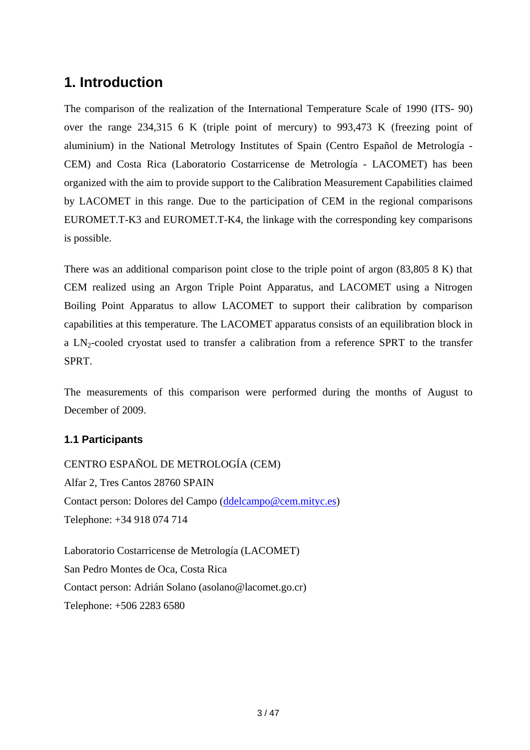# <span id="page-2-0"></span>**1. Introduction**

The comparison of the realization of the International Temperature Scale of 1990 (ITS- 90) over the range 234,315 6 K (triple point of mercury) to 993,473 K (freezing point of aluminium) in the National Metrology Institutes of Spain (Centro Español de Metrología - CEM) and Costa Rica (Laboratorio Costarricense de Metrología - LACOMET) has been organized with the aim to provide support to the Calibration Measurement Capabilities claimed by LACOMET in this range. Due to the participation of CEM in the regional comparisons EUROMET.T-K3 and EUROMET.T-K4, the linkage with the corresponding key comparisons is possible.

There was an additional comparison point close to the triple point of argon (83,805 8 K) that CEM realized using an Argon Triple Point Apparatus, and LACOMET using a Nitrogen Boiling Point Apparatus to allow LACOMET to support their calibration by comparison capabilities at this temperature. The LACOMET apparatus consists of an equilibration block in a  $LN_2$ -cooled cryostat used to transfer a calibration from a reference SPRT to the transfer SPRT.

The measurements of this comparison were performed during the months of August to December of 2009.

## <span id="page-2-1"></span>**1.1 Participants**

CENTRO ESPAÑOL DE METROLOGÍA (CEM) Alfar 2, Tres Cantos 28760 SPAIN Contact person: Dolores del Campo ([ddelcampo@cem.mityc.es](mailto:ddelcampo@cem.mityc.es)) Telephone: +34 918 074 714

Laboratorio Costarricense de Metrología (LACOMET) San Pedro Montes de Oca, Costa Rica Contact person: Adrián Solano (asolano@lacomet.go.cr) Telephone: +506 2283 6580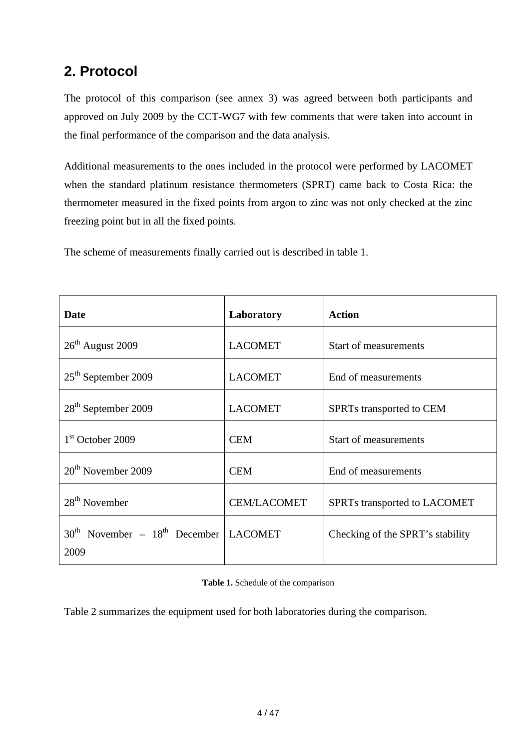# <span id="page-3-0"></span>**2. Protocol**

The protocol of this comparison (see annex 3) was agreed between both participants and approved on July 2009 by the CCT-WG7 with few comments that were taken into account in the final performance of the comparison and the data analysis.

Additional measurements to the ones included in the protocol were performed by LACOMET when the standard platinum resistance thermometers (SPRT) came back to Costa Rica: the thermometer measured in the fixed points from argon to zinc was not only checked at the zinc freezing point but in all the fixed points.

The scheme of measurements finally carried out is described in table 1.

| Date                                              | Laboratory         | <b>Action</b>                    |
|---------------------------------------------------|--------------------|----------------------------------|
| $26th$ August 2009                                | <b>LACOMET</b>     | <b>Start of measurements</b>     |
| $25th$ September 2009                             | <b>LACOMET</b>     | End of measurements              |
| 28 <sup>th</sup> September 2009                   | <b>LACOMET</b>     | SPRTs transported to CEM         |
| 1 <sup>st</sup> October 2009                      | <b>CEM</b>         | <b>Start of measurements</b>     |
| $20th$ November 2009                              | <b>CEM</b>         | End of measurements              |
| $28th$ November                                   | <b>CEM/LACOMET</b> | SPRTs transported to LACOMET     |
| $30th$ November – $18th$ December LACOMET<br>2009 |                    | Checking of the SPRT's stability |

**Table 1.** Schedule of the comparison

Table 2 summarizes the equipment used for both laboratories during the comparison.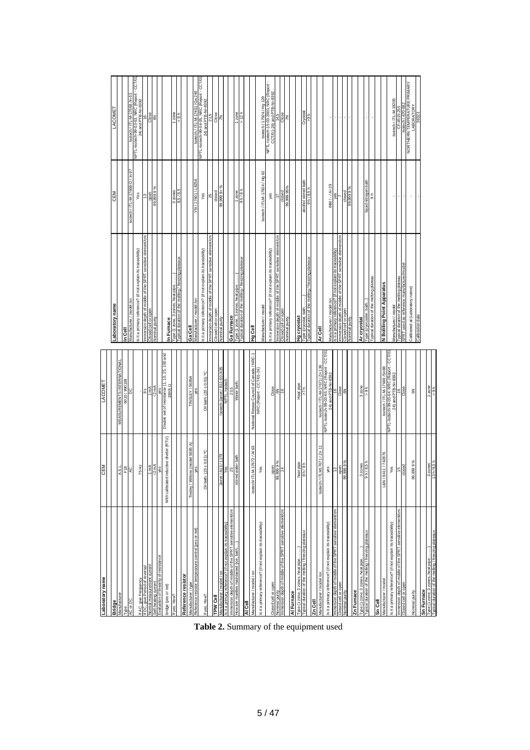| Laboratory name                                                                                                   | CEM                                     | LACOMET                                                                                           |                                                                                            |                                                  |                                                                    |
|-------------------------------------------------------------------------------------------------------------------|-----------------------------------------|---------------------------------------------------------------------------------------------------|--------------------------------------------------------------------------------------------|--------------------------------------------------|--------------------------------------------------------------------|
| <b>Bridge</b>                                                                                                     |                                         |                                                                                                   | Laboratory name                                                                            | <b>CEM</b>                                       | LACOME <sup>-</sup>                                                |
| Manufacturer                                                                                                      | A.S.L                                   | MEASUREMENTS INTERNATIONAL                                                                        |                                                                                            |                                                  |                                                                    |
| ed.                                                                                                               |                                         | 6010/990108                                                                                       | శ్రే                                                                                       |                                                  |                                                                    |
| AC or DC                                                                                                          |                                         | 3                                                                                                 | anufacturer / model /sn                                                                    | isotech / ITL-M-17668-O / In 97                  | Isotech / ITL-M-17668 /In 63                                       |
| f AC, give Frequency                                                                                              | 75 Hz                                   |                                                                                                   | Is it a primary reference? (if not explain its traceability)                               | Yes                                              | NPTL-Isatech-99-03-63, NRC (Report - CCT/01<br>24) and PTB-NF-8392 |
| DC, give Period of reversal                                                                                       |                                         |                                                                                                   | mmersion depth of middle of the SPRT sensitive element/cm                                  | \$                                               | 16                                                                 |
| asurement curren<br>f-heating current<br>malme                                                                    | $\frac{1}{2}$ mA<br>$\frac{1}{2}$       | $\frac{1}{2} \sum_{i=1}^{n}$                                                                      | minal purity<br><b>Gell</b>                                                                | open<br>0999<br>8                                | Close<br>6N                                                        |
| valuation of linearity of resistance                                                                              | yes                                     | yes                                                                                               |                                                                                            |                                                  |                                                                    |
| oridge (yes or not)                                                                                               | With calibrated inductive divider (RTU) | Double set of resistance (1, 10, 25, 100 and<br>$1000$ $\Omega$                                   | n Furnace                                                                                  |                                                  |                                                                    |
| f yes, How?                                                                                                       |                                         |                                                                                                   |                                                                                            |                                                  | $1$ zone                                                           |
|                                                                                                                   |                                         |                                                                                                   | ype (1 zone, 3 zones, heat pipe, ……)<br>ypical duration of the melting / freezing plateaux | $3 \, \frac{20}{16}$<br>$8,5/8,5$                | 4.6<                                                               |
| Reference resistor                                                                                                |                                         |                                                                                                   |                                                                                            |                                                  |                                                                    |
| Manufacturer / type                                                                                               | Tinsley / Wilkins (model 5685 A)        | TINSLEY / 5685A                                                                                   | Ga Cel                                                                                     |                                                  |                                                                    |
| Reference resistor temperature control (yes or not)                                                               | yes                                     |                                                                                                   | lanufacturer / model /sn                                                                   | YSI / 17401 / L8256                              | sotech / ITL-M-17401/Ga 240                                        |
| fyes, How?                                                                                                        | $(23 + 0.01) °C$<br>Oil bath:           | Oil bath: $(20 \pm 0.01)$ °C                                                                      | Is it a primary reference? (if not explain its traceability)                               | Yes                                              | NPTL-Isotech-99-04-05, NRC (Report - CCT/01<br>24) and PTB-Nr-8392 |
|                                                                                                                   |                                         |                                                                                                   | 5<br>dle of the SPRT sensitive element<br>mersion depth of                                 | 25                                               | 21,5                                                               |
| TPW Cell                                                                                                          |                                         |                                                                                                   | Closed cell or open                                                                        | closed                                           | Close                                                              |
| anufacturer / model / sn                                                                                          | 62 LL / SLV .<br>Jarret                 | sotech-Jarret / B11-50 /435                                                                       | lominal purity                                                                             | $, +6666666$                                     | K                                                                  |
| its traceability<br>ē<br>a primary reference?                                                                     | Yes                                     | LвЫ                                                                                               |                                                                                            |                                                  |                                                                    |
| mmersion depth of middle of the SPRT sensitive element/cm                                                         | 25                                      | 23.5                                                                                              | Ga Furnace                                                                                 |                                                  |                                                                    |
| low are mantles maintained (ice, bath                                                                             | water bath<br>stirre                    | Water bath                                                                                        | ype (1 zone, 3 zones, heat pipe, ……)<br>ypical duration of the melting / freezing plateaux | 9 h/8 h<br>12006                                 | $1$ zone                                                           |
| lie3                                                                                                              |                                         |                                                                                                   |                                                                                            |                                                  |                                                                    |
| Manufacturer / model / sn                                                                                         | M-17672 / AI 63<br>Isotech/IT           | National Resear Council of Canada / NRC-1                                                         | lieg Br                                                                                    |                                                  |                                                                    |
|                                                                                                                   |                                         | NRC (Report - CCT/01-24)                                                                          |                                                                                            |                                                  |                                                                    |
| is it a primary reference? (if not explain its traceability)                                                      | Yes                                     |                                                                                                   | /anufacturer / model                                                                       | Isotech / ITLM-17924 / Hg 62                     | Isotech / 17924 / Hg 129                                           |
| Closed cell or open                                                                                               |                                         |                                                                                                   | s it a primary reference? (if not explain its traceability)                                | yes                                              | NPTL-Isotech-15-03-2000, NRC (Report -                             |
| Iominal purity                                                                                                    | open<br>9999<br>99                      | Close<br>6N                                                                                       | mersion depth of middle of the SPRT sensitive element/cm                                   |                                                  | CCT/01-24) and PTB-Nr-8392<br>14,5                                 |
| immersion depth of middle of the SPRT sensitive element/cm                                                        | $\frac{4}{3}$                           | ë                                                                                                 | osed cell or open                                                                          | $c$ losec                                        | Close                                                              |
|                                                                                                                   |                                         |                                                                                                   | <b>Vominal</b> purity                                                                      | 99.999 95%                                       | K                                                                  |
| Al Furnace                                                                                                        |                                         |                                                                                                   |                                                                                            |                                                  |                                                                    |
| .<br>Typical duration of the metting / freezing plateaux.<br>Typical duration of the metting / freezing plateaux. | eat pipe<br>sh/8h                       | Heat pipe                                                                                         | Ig cryostat                                                                                |                                                  |                                                                    |
|                                                                                                                   |                                         |                                                                                                   | pical duration of the melting / freezing plateaux<br>pe (cryostat,                         | bath<br>ohol stirred t<br>9 h / 8,5 h<br>alcohol | Cryostat<br>36<                                                    |
| Zn Cell                                                                                                           |                                         |                                                                                                   |                                                                                            |                                                  |                                                                    |
| Manufacturer / model /sn                                                                                          | LM17671 / Zn 11<br>Isotech / IT         | sotech / ITL-M-17671/ Zn 136                                                                      | Ar Cell                                                                                    |                                                  |                                                                    |
|                                                                                                                   |                                         | NPTL-Isotech-99-03-65, NRC (Report - CCT/01                                                       |                                                                                            |                                                  |                                                                    |
| s it a primary reference? (if not explain its traceability)                                                       | yes                                     | 24) and PTB-Nr-8392                                                                               | lanufacturer / model /sn                                                                   | INM / - / Ar 29                                  |                                                                    |
| iddle of the SPRT sensitive element/cm<br>nersion depth of mi                                                     |                                         |                                                                                                   | not explain its traceability)<br>a primary reference'                                      | g                                                |                                                                    |
| Closed cell or open                                                                                               | open<br>1,999 9 %                       | Close                                                                                             | mersion depth of middle of the SPRT sensitive element/cm                                   |                                                  | ۰                                                                  |
| Nominal purity                                                                                                    | န္တ                                     | $\frac{2}{6}$                                                                                     | osed cell or open<br>ominal purity                                                         | closed<br>99.9999                                |                                                                    |
| Zn Furnace                                                                                                        |                                         |                                                                                                   |                                                                                            |                                                  |                                                                    |
|                                                                                                                   |                                         |                                                                                                   | Ar cryostat                                                                                |                                                  |                                                                    |
| `ype (1 zone, 3 zones, heat pipe, …….)<br>`ypical duration of the melting / freezing plateaux                     | $\frac{20065}{1/8.5}$                   | $3 \text{ zone}$<br>> $9 \text{ h}$                                                               |                                                                                            | iquid nitrogen bath                              |                                                                    |
|                                                                                                                   |                                         |                                                                                                   | ypical duration of the melting plateau                                                     | $\frac{1}{9}$                                    |                                                                    |
| Sn Cel                                                                                                            |                                         |                                                                                                   |                                                                                            |                                                  |                                                                    |
| Vlanufacturer / model                                                                                             | L&N / 8411 / 742876                     |                                                                                                   | <b>N Boliling Point Apparatus</b>                                                          |                                                  |                                                                    |
| is it a primary reference? (if not explain its traceability)                                                      | Yes                                     | lsotech / iTL-M-17669 /Sn88<br>NPTL-Isotech-99-03-64, NRC (Report - CCT/01<br>24) and PTB-Nr-8392 | Vianufacturer / model                                                                      |                                                  | Isotech / ITL-M-18205                                              |
| mmersion depth of middle of the SPRT sensitive element/cm                                                         | 15                                      |                                                                                                   | ypical duration of the melting plateau                                                     |                                                  | CF-4515-255                                                        |
| Closed cell or open                                                                                               | 36 <sub>6</sub>                         | Close                                                                                             | SPRT used as reference manufacturer/model                                                  |                                                  | sotech / 670-082                                                   |
|                                                                                                                   |                                         |                                                                                                   | Calibrated at (Laboratory name)                                                            |                                                  | NORTHERN TEMPERATURE PRIMARY<br>NORTHERN TEMPERATURE<br>LABORATORY |
| <b>Vominal</b> purity                                                                                             | 99,999 9%                               | $\mathsf S$                                                                                       | Calibration dat                                                                            |                                                  |                                                                    |
| Sn Furnace                                                                                                        |                                         |                                                                                                   |                                                                                            |                                                  |                                                                    |
| Type (1 zone, 3 zones, heat pipe, …….)<br>Typical duration of the metring / freezing plateaux                     |                                         | 1 zone                                                                                            |                                                                                            |                                                  |                                                                    |
|                                                                                                                   | $\frac{z \text{ones}}{h/9.5h}$          | 59h                                                                                               |                                                                                            |                                                  |                                                                    |

**Table 2.** Summary of the equipment used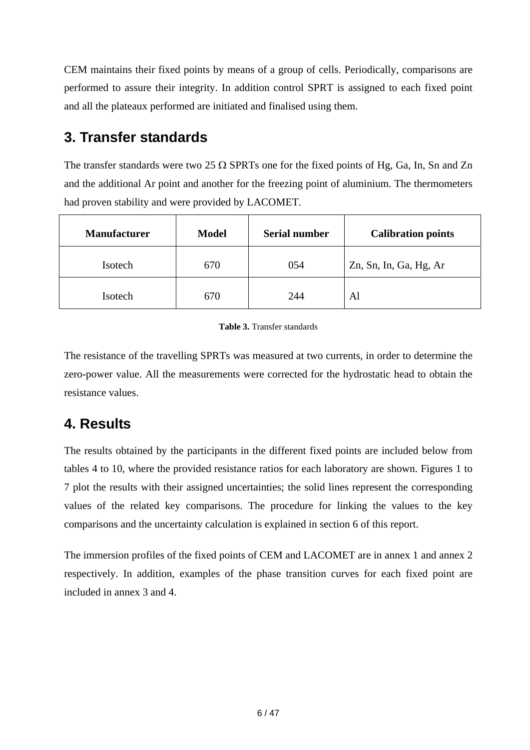CEM maintains their fixed points by means of a group of cells. Periodically, comparisons are performed to assure their integrity. In addition control SPRT is assigned to each fixed point and all the plateaux performed are initiated and finalised using them.

# <span id="page-5-0"></span>**3. Transfer standards**

The transfer standards were two 25  $\Omega$  SPRTs one for the fixed points of Hg, Ga, In, Sn and Zn and the additional Ar point and another for the freezing point of aluminium. The thermometers had proven stability and were provided by LACOMET.

| <b>Manufacturer</b> | <b>Model</b> | <b>Serial number</b> | <b>Calibration points</b> |
|---------------------|--------------|----------------------|---------------------------|
| Isotech             | 670          | 054                  | Zn, Sn, In, Ga, Hg, Ar    |
| Isotech             | 670          | 244                  | Al                        |

#### **Table 3.** Transfer standards

The resistance of the travelling SPRTs was measured at two currents, in order to determine the zero-power value. All the measurements were corrected for the hydrostatic head to obtain the resistance values.

# <span id="page-5-1"></span>**4. Results**

The results obtained by the participants in the different fixed points are included below from tables 4 to 10, where the provided resistance ratios for each laboratory are shown. Figures 1 to 7 plot the results with their assigned uncertainties; the solid lines represent the corresponding values of the related key comparisons. The procedure for linking the values to the key comparisons and the uncertainty calculation is explained in section 6 of this report.

The immersion profiles of the fixed points of CEM and LACOMET are in annex 1 and annex 2 respectively. In addition, examples of the phase transition curves for each fixed point are included in annex 3 and 4.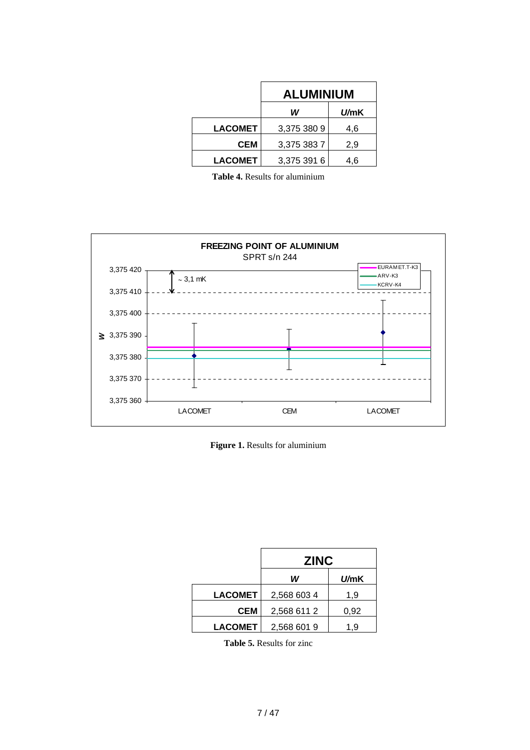|                | <b>ALUMINIUM</b>  |     |  |
|----------------|-------------------|-----|--|
|                | W<br><i>U/</i> mK |     |  |
| <b>LACOMET</b> | 3,375 380 9       | 4,6 |  |
| CEM            | 3,375 383 7       | 2,9 |  |
| <b>LACOMET</b> | 3,375 391 6       | 4.6 |  |

**Table 4.** Results for aluminium



**Figure 1.** Results for aluminium

|                | <b>ZINC</b> |      |
|----------------|-------------|------|
|                | W           | U/mK |
| <b>LACOMET</b> | 2,568 603 4 | 1,9  |
| CEM            | 2,568 611 2 | 0,92 |
| <b>LACOMET</b> | 2,568 601 9 | 1.9  |

**Table 5.** Results for zinc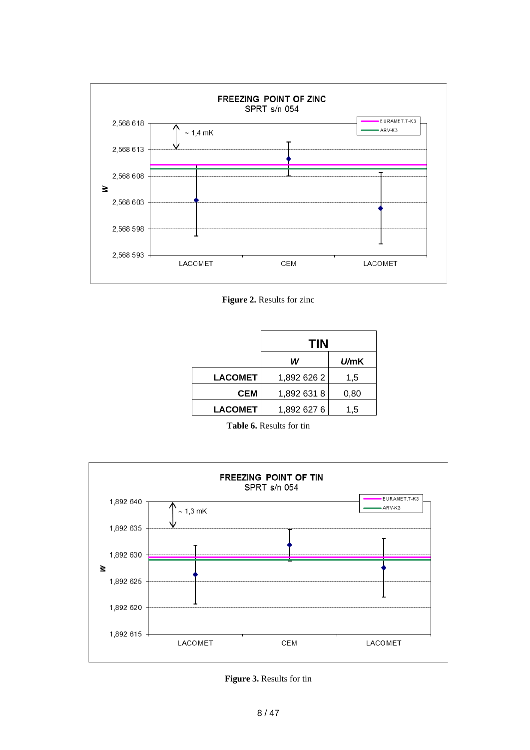

**Figure 2.** Results for zinc

|                | <b>TIN</b>  |      |
|----------------|-------------|------|
|                | W           | U/mK |
| <b>LACOMET</b> | 1,892 626 2 | 1,5  |
| <b>CEM</b>     | 1,892 631 8 | 0,80 |
| <b>LACOMET</b> | 1,892 627 6 | 1.5  |

**Table 6.** Results for tin



**Figure 3.** Results for tin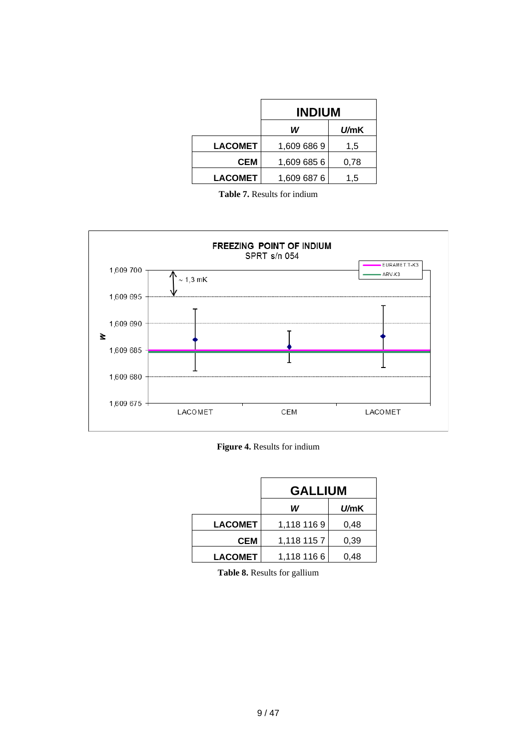|                | <b>INDIUM</b> |              |
|----------------|---------------|--------------|
|                | W             | <i>U/</i> mK |
| <b>LACOMET</b> | 1,609 686 9   | 1,5          |
| CEM            | 1,609 685 6   | 0.78         |
| <b>LACOMET</b> | 1,609 687 6   | 1,5          |

**Table 7.** Results for indium



|                | <b>GALLIUM</b>    |      |  |
|----------------|-------------------|------|--|
|                | W<br><i>U/</i> mK |      |  |
| <b>LACOMET</b> | 1,118 116 9       | 0,48 |  |
| CEM            | 1,118 115 7       | 0,39 |  |
| <b>LACOMET</b> | 1,118 116 6       | 0.48 |  |

**Table 8.** Results for gallium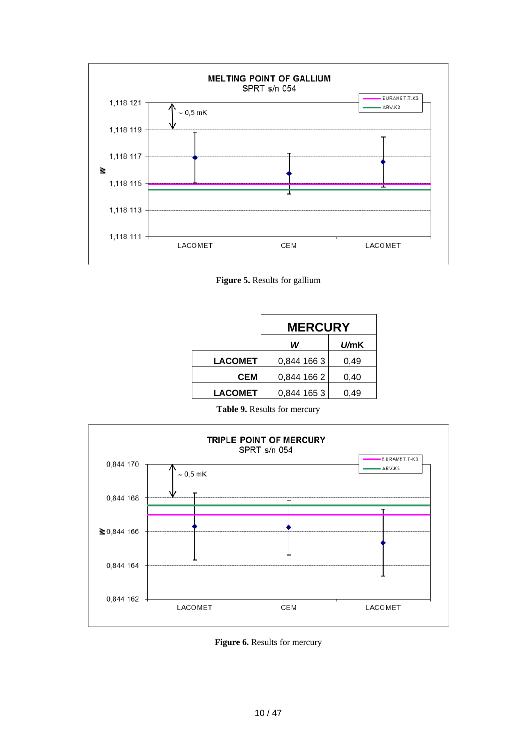

**Figure 5.** Results for gallium

|                | <b>MERCURY</b> |              |
|----------------|----------------|--------------|
|                | W              | <i>U/</i> mK |
| <b>LACOMET</b> | 0,844 166 3    | 0.49         |
| CEM            | 0,844 166 2    | 0.40         |
| <b>LACOMET</b> | 0,844 165 3    | 0.49         |

**Table 9.** Results for mercury



**Figure 6.** Results for mercury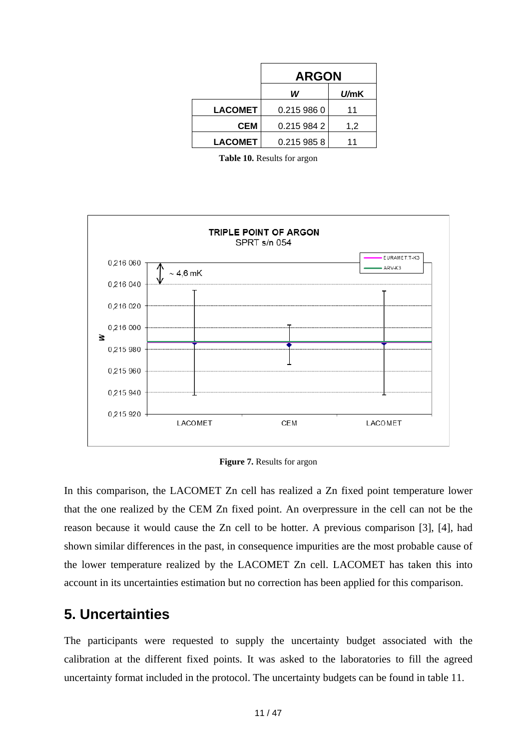|                | <b>ARGON</b> |              |
|----------------|--------------|--------------|
|                | W            | <i>U/</i> mK |
| <b>LACOMET</b> | 0.215 986 0  | 11           |
| CEM            | 0.215 984 2  | 1,2          |
| <b>LACOMET</b> | 0.215 985 8  | 11           |

**Table 10.** Results for argon



**Figure 7.** Results for argon

In this comparison, the LACOMET Zn cell has realized a Zn fixed point temperature lower that the one realized by the CEM Zn fixed point. An overpressure in the cell can not be the reason because it would cause the Zn cell to be hotter. A previous comparison [3], [4], had shown similar differences in the past, in consequence impurities are the most probable cause of the lower temperature realized by the LACOMET Zn cell. LACOMET has taken this into account in its uncertainties estimation but no correction has been applied for this comparison.

## <span id="page-10-0"></span>**5. Uncertainties**

The participants were requested to supply the uncertainty budget associated with the calibration at the different fixed points. It was asked to the laboratories to fill the agreed uncertainty format included in the protocol. The uncertainty budgets can be found in table 11.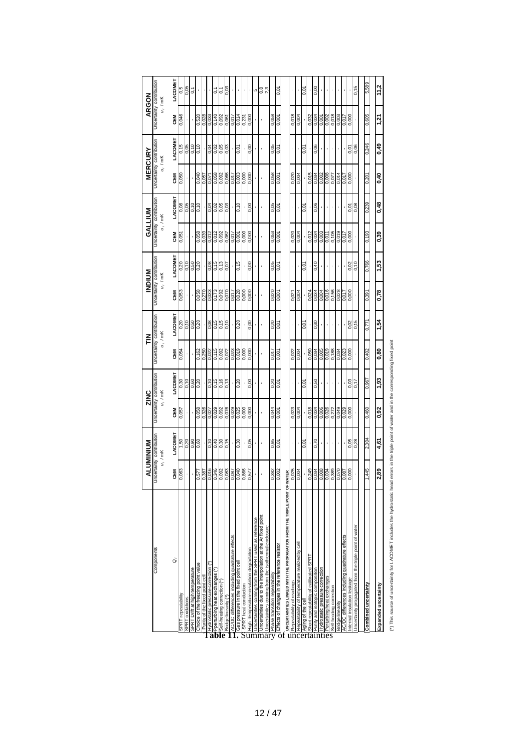|                                                                          | ⋖                    | <b>NUMINION</b>          | ZINC                     |            |                          | 즏       |                          | MDINN      |            | <b>GALLIUM</b>           |            | <b>MERCURY</b>           | ARGON                    |                  |
|--------------------------------------------------------------------------|----------------------|--------------------------|--------------------------|------------|--------------------------|---------|--------------------------|------------|------------|--------------------------|------------|--------------------------|--------------------------|------------------|
| Components                                                               |                      | Uncertainty contribution | Uncertainty contribution |            | Uncertainty contribution |         | Uncertainty contribution |            |            | Uncertainty contribution |            | Uncertainty contribution | Uncertainty contribution |                  |
|                                                                          |                      | $u_i$ / mK               |                          | $u_i$ / mK | $u_i$ / mK               |         |                          | $u_i$ / mK |            | $u_i$ / mK               |            | $u_i$ / mK               |                          | $u_i$ / mK       |
| õ                                                                        | CEM                  | LACOMET                  | CEM                      | LACOMET    | <b>NBO</b>               | LACOMET | <b>NEW</b>               | LACOMET    | <b>NBO</b> | LACOMET                  | <b>NBO</b> | LACOMET                  | <b>CEM</b>               | LACOMET          |
| SPRT repeatability                                                       | ్ల<br>0,06           |                          | 0,057                    | 0.30       | 0,054                    | 0,20    | 0,053                    | 0,20       | 0,051      |                          | 0,050      | 0,15                     | 0,046                    |                  |
| SPRT oxidations                                                          |                      | $rac{6}{10}$             |                          | 0,10       |                          | 0,10    |                          | 0,10       |            | 0,08                     |            | 0,05                     |                          | $\frac{6}{0.05}$ |
| SPRT Drift at high temperature                                           |                      | 060                      |                          | 0,60       |                          | 0,50    |                          | 0,50       |            | 0,10                     |            | 0,10                     |                          | $\overline{0}$   |
| Choice of the freezing point value                                       | 0,57                 | 0,60                     | 0,058                    | 0,20       | 0,162                    | 0,20    | 0,058                    | 0.20       | 0,058      | 0,10                     | 0,040      | 0,10                     | 0,520                    |                  |
| Purity of the fixed point cel                                            | 0,38                 |                          | 0,326                    |            | 0,250                    |         | 0.270                    |            | 0.039      |                          | 0.057      |                          | 0,028                    |                  |
| Hydrostatic pressure correction (*)                                      | 0,016                | 0,10                     | 0,027                    | 0,10       | 0,022                    | 0,08    | 0,033                    | 0,08       | 0,012      | 0,04                     | 0,071      | 0,04                     | 0,033                    |                  |
| Pperturbing heat exchanges (*)<br>'able                                  | 0,346                | 0,40                     | 0,029                    | 0,15       | 0,115                    | 0,15    | 0,173                    | 0,15       | 0,012      | 0,02                     | 0,058      | 0,02                     | 0,140                    | $\overline{0}$   |
| Self-heating correction (*)                                              | й<br>0,09            | 0,30                     |                          | 0,16       |                          | 0,15    | 0,092                    | 0,13       | 0,092      |                          | 0,092      | 0,05                     | 0,092                    | $\tilde{0}$      |
| Bridge linearity (*)                                                     | 0,083                | 0,15                     | 0,092                    | 0,13       | 0,092                    | 0,10    | 0,070                    | 10.0       | 0,067      | 0,05                     | 0,066      | 0,03                     | 190'0                    | 0,03             |
| AC/DC differences including quadrature effects                           | 80'0                 |                          | 0,029                    |            | 0,023                    |         | 0,017                    |            | 710'0      |                          | 0,07       |                          | 0,017                    |                  |
| Gas pressure in the fixed point cel                                      |                      | 0,30                     | 0,025                    | 0,20       | 6100                     | 0,20    | 0,028                    | 0,15       | 00,0       | 0,10                     | 0,003      | 0,01                     | 0,014                    |                  |
| SPRT heat conduction                                                     | 0,040                |                          | 0,000                    |            | 0,000                    |         | 0,000                    |            | 0.000      |                          | 0,000      |                          | 0,231                    |                  |
| High-temperature insulation degradation                                  | 0,57                 | 0,05                     | 0,000                    | 0,00       | 0,000                    | 0,00    | 0,000                    | 0,00       | 0,000      | 0,00                     | 0,000      | 0,00                     | 0,000                    |                  |
| Jncertainties coming from the SPRT used as reference<br>Summar           |                      |                          |                          |            |                          |         |                          |            |            |                          |            |                          |                          | ω                |
| Jncertainties due to the interpolation at the Ar fixed point             |                      |                          |                          |            |                          |         |                          |            |            |                          |            |                          |                          | 0,8              |
| Jncertainties coming from the isothermal enclosure                       |                      |                          |                          |            |                          |         |                          |            |            |                          |            |                          |                          | 2,3              |
| Phase transition repeatability                                           | $\frac{38}{2}$       | 0,95                     | 0,044                    | 0,20       | 0,017                    | 0,20    | 0,020                    | 0,05       | 0,053      | 0,05                     | 0,058      | 0,05                     | 0,058                    |                  |
| Effects of changes in the reference resistor<br>$\frac{1}{\text{d}}$     | 0,002                | 0,01                     | 0,001                    | 0,01       | 0,001                    | 0,01    | 0,001                    | 0,01       | 0,001      | 0,01                     | 0.001      | 0.01                     | 0,001                    | 0,01             |
| UNCERTAINTIES LINKED WITH THE PROPAGATION FROM THE TRIPLE POINT OF WATER |                      |                          |                          |            |                          |         |                          |            |            |                          |            |                          |                          |                  |
| Repeatability of readings                                                | 0,025                |                          | 0,023                    |            | 0,022                    |         | 0,021                    |            | 0,020      |                          | 0,020      |                          | 0,018                    |                  |
| Repeatability of temperature realized by cel                             | 0,004                |                          | 0,004                    |            | 0,004                    |         | 0,004                    |            | 0,004      |                          | 0,004      |                          | 0,004                    |                  |
| Aging of the cell                                                        |                      | 0.01                     |                          | 0,01       |                          | 0.01    |                          | 0,01       |            | 0.01                     |            | 0.01                     |                          | 0,01             |
| Short repeatability of calibrated SPRT<br>uncertainties                  | ഉ<br>0,24            |                          | 0,018                    |            | 0,050                    |         | 0,024                    |            | 0,012      |                          | 0,015      |                          | 0,032                    |                  |
| Purity and isotopic composition                                          | 0,034                | 0,70                     | 0,034                    | 0,50       | 0,034                    | 0,30    | 0,034                    | 0,40       | 0,034      | 0,06                     | 0,034      | 0,06                     | 0,034                    | 0,00             |
| Hydrostatic pressure correction                                          | $\frac{6000}{10000}$ |                          | 0,006                    |            | 0,005                    |         | 0,004                    |            | 0,003      |                          | 0,002      |                          | 0,001                    |                  |
| Perturbing heat exchanges                                                |                      |                          | 0,026                    |            | 0,019                    |         | 0,016                    |            | 0,011      |                          | 0,008      |                          | 0,002                    |                  |
| Self-heating correction                                                  | 0,389                |                          | 0,272                    |            | 0,188                    |         | 0,156                    |            | 0,105      |                          | 0,077      |                          | 0,018                    |                  |
| Bridge linearity                                                         | 0,07                 |                          | 0,049                    |            | 0,034                    |         | 0,028                    |            | 0,019      |                          | 0,014      |                          | 0,003                    |                  |
| AC/DC differences including quadrature effects                           | 0,08                 |                          | 0,029                    |            | 0,023                    |         | 0.017                    |            | 0.017      |                          | 0.07       |                          | 0.017                    |                  |
| nternal insulation leakage                                               | 0,000                | 0,05                     | 0,000                    | 0,03       | 0,000                    | 0,02    | 0,000                    | 0,02       | 0,000      | 0,01                     | 0,000      | 0,01                     | 0.000                    |                  |
| Jncertainty propagated from the triple point of water                    |                      | 0,28                     |                          | 0,17       |                          | 0,15    |                          | 0,10       |            | 0,08                     |            | 0,06                     |                          | 0,15             |
|                                                                          |                      |                          |                          |            |                          |         |                          |            |            |                          |            |                          |                          |                  |
| Combined uncertainty                                                     | <u>(က</u><br>1.44    | 2,304                    | 0,460                    | 0,967      | 0,402                    | 0,771   | 0,391                    | 0,766      | 0,193      | 0,239                    | 0,201      | 0,246                    | 0,605                    | 5,589            |
|                                                                          |                      |                          |                          |            |                          |         |                          |            | 0.39       |                          |            |                          |                          |                  |
| Expanded uncertainty                                                     | 2,89                 | 4,61                     | 0,92                     | 1,93       | 0.80                     | 1,54    | 0,78                     | 1,53       |            | 0,48                     | 0,40       | 0,49                     | 1,21                     | 11,2             |
| $\begin{array}{c} \n\end{array}$<br>i<br>E                               |                      |                          |                          |            |                          |         |                          |            |            |                          |            |                          |                          |                  |

esponding fixed point (\*) This source of uncertainty for LACOMET includes the hydrostatic head errors in the triple point of water and in the corresponding fixed point (\*) This source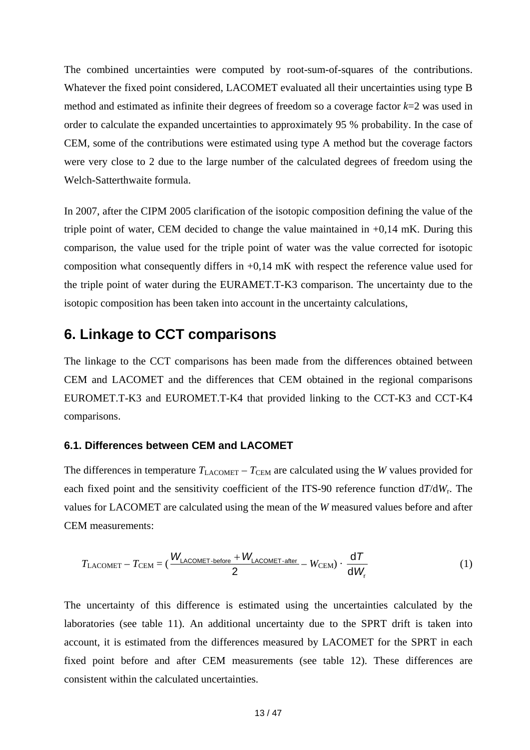The combined uncertainties were computed by root-sum-of-squares of the contributions. Whatever the fixed point considered, LACOMET evaluated all their uncertainties using type B method and estimated as infinite their degrees of freedom so a coverage factor *k*=2 was used in order to calculate the expanded uncertainties to approximately 95 % probability. In the case of CEM, some of the contributions were estimated using type A method but the coverage factors were very close to 2 due to the large number of the calculated degrees of freedom using the Welch-Satterthwaite formula.

composition what consequently differs in  $+0.14$  mK with respect the reference value used for the triple point of water during the EURAMET.T-K3 comparison. The uncertainty due to the isotopic composition has been taken into account in the uncertainty calculations, In 2007, after the CIPM 2005 clarification of the isotopic composition defining the value of the triple point of water, CEM decided to change the value maintained in  $+0.14$  mK. During this comparison, the value used for the triple point of water was the value corrected for isotopic

## <span id="page-12-0"></span>**6. Linkage to CCT comparisons**

CEM and LACOMET and the differences that CEM obtained in the regional comparisons EUROMET.T-K3 and EUROMET.T-K4 that provided linking to the CCT-K3 and CCT-K4 The linkage to the CCT comparisons has been made from the differences obtained between comparisons.

#### <span id="page-12-1"></span>**6.1. Differences between CEM and LACOMET**

each fixed point and the sensitivity coefficient of the ITS-90 reference function  $d/dW_r$ . The values for LACOMET are calculated using the mean of the *W* measured values before and after CEM measurements: The differences in temperature  $T_{\text{LACOMET}} - T_{\text{CEM}}$  are calculated using the *W* values provided for

$$
T_{\text{LACOMET}} - T_{\text{CEM}} = (\frac{W_{\text{LACOMET-before}} + W_{\text{LACOMET-after}}}{2} - W_{\text{CEM}}) \cdot \frac{dT}{dW_{\text{r}}}
$$
(1)

The uncertainty of this difference is estimated using the uncertainties calculated by the laboratories (see table 11). An additional uncertainty due to the SPRT drift is taken into account, it is estimated from the differences measured by LACOMET for the SPRT in each fixed point before and after CEM measurements (see table 12). These differences are consistent within the calculated uncertainties.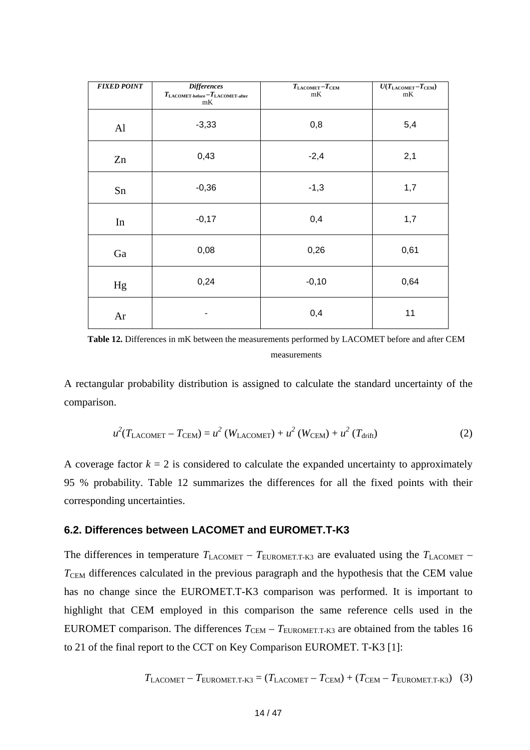| <b>FIXED POINT</b> | <b>Differences</b><br>$T_{\rm LACOMET\text{-}before}-T_{\rm LACOMET\text{-}after}$<br>mK | $T_{\text{LACOMET}}-T_{\text{CEM}}$<br>mK | $\overline{U(T_{\rm LACOMET}-T_{\rm CEM})}$<br>mK |
|--------------------|------------------------------------------------------------------------------------------|-------------------------------------------|---------------------------------------------------|
| Al                 | $-3,33$                                                                                  | 0,8                                       | 5,4                                               |
| Zn                 | 0,43                                                                                     | $-2,4$                                    | 2,1                                               |
| Sn                 | $-0,36$                                                                                  | $-1,3$                                    | 1,7                                               |
| $\rm{In}$          | $-0,17$                                                                                  | 0,4                                       | 1,7                                               |
| Ga                 | 0,08                                                                                     | 0,26                                      | 0,61                                              |
| Hg                 | 0,24                                                                                     | $-0,10$                                   | 0,64                                              |
| Ar                 |                                                                                          | 0,4                                       | 11                                                |

Table 12. Differences in mK between the measurements performed by LACOMET before and after CEM measurements

A rectangular probability distribution is assigned to calculate the standard uncertainty of the comparison.

$$
u^{2}(T_{\text{LACOMET}} - T_{\text{CEM}}) = u^{2}(W_{\text{LACOMET}}) + u^{2}(W_{\text{CEM}}) + u^{2}(T_{\text{drift}})
$$
\n(2)

95 % probability. Table 12 summarizes the differences for all the fixed points with their corresponding uncertainties. A coverage factor  $k = 2$  is considered to calculate the expanded uncertainty to approximately

#### <span id="page-13-0"></span>6.2. Differences between LACOMET and EUROMET.T-K3

EUROMET comparison. The differences  $T_{\text{CEM}} - T_{\text{EUROMET.T-K3}}$  are obtained from the tables 16 to 21 of the final report to the CCT on Key Comparison EUROMET. T-K3 [1]: The differences in temperature  $T_{\text{LACOMET}} - T_{\text{EUROMET.T-K3}}$  are evaluated using the  $T_{\text{LACOMET}} - T_{\text{LACOMET}}$ T<sub>CEM</sub> differences calculated in the previous paragraph and the hypothesis that the CEM value has no change since the EUROMET.T-K3 comparison was performed. It is important to highlight that CEM employed in this comparison the same reference cells used in the

$$
T_{\text{LACOMET}} - T_{\text{EUROMET.T-K3}} = (T_{\text{LACOMET}} - T_{\text{CEM}}) + (T_{\text{CEM}} - T_{\text{EUROMET.T-K3}}) \tag{3}
$$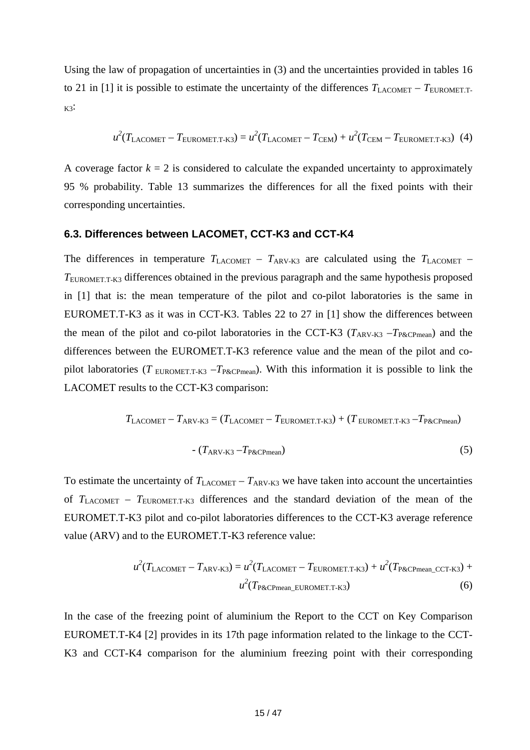Using the law of propagation of uncertainties in (3) and the uncertainties provided in tables 16 to 21 in [1] it is possible to estimate the uncertainty of the differences  $T_{\text{LACOMET}} - T_{\text{EUROMET.T-}}$  $K3$ :

$$
u^{2}(T_{\text{LACOMET}} - T_{\text{EUROMET.T-K3}}) = u^{2}(T_{\text{LACOMET}} - T_{\text{CEM}}) + u^{2}(T_{\text{CEM}} - T_{\text{EUROMET.T-K3}})
$$
(4)

A coverage factor  $k = 2$  is considered to calculate the expanded uncertainty to approximately 95 % probability. Table 13 summarizes the differences for all the fixed points with their corresponding uncertainties.

#### <span id="page-14-0"></span>**6.3. Differences between LACOMET, CCT-K3 and CCT-K4**

The differences in temperature  $T_{\text{LACOMET}} - T_{\text{ARV-K3}}$  are calculated using the  $T_{\text{LACOMET}}$  – TEUROMET.T-K3 differences obtained in the previous paragraph and the same hypothesis proposed in [1] that is: the mean temperature of the pilot and co-pilot laboratories is the same in EUROMET.T-K3 as it was in CCT-K3. Tables 22 to 27 in [1] show the differences between the mean of the pilot and co-pilot laboratories in the CCT-K3 ( $T_{ARV-K3}$  – $T_{P\&CPmean}$ ) and the differences between the EUROMET.T-K3 reference value and the mean of the pilot and copilot laboratories (*T* EUROMETT-K3 –  $T_{P\&\text{CPmean}}$ ). With this information it is possible to link the LACOMET results to the CCT-K3 comparison:

$$
T_{\text{LACOMET}} - T_{\text{ARV-K3}} = (T_{\text{LACOMET}} - T_{\text{EUROMET.T-K3}}) + (T_{\text{EUROMET.T-K3}} - T_{\text{P\&CPmean}})
$$

$$
- (T_{\text{ARV-K3}} - T_{\text{P\&C Pmean}}) \tag{5}
$$

To estimate the uncertainty of  $T_{\text{LACOMET}} - T_{\text{ARV-K3}}$  we have taken into account the uncertainties of  $T_{\text{LACOMET}}$  –  $T_{\text{EUROMET.T-K3}}$  differences and the standard deviation of the mean of the EUROMET.T-K3 pilot and co-pilot laboratories differences to the CCT-K3 average reference value (ARV) and to the EUROMET.T-K3 reference value:

$$
u^{2}(T_{\text{LACOMET}} - T_{\text{ARV-K3}}) = u^{2}(T_{\text{LACOMET}} - T_{\text{EUROMET.T-K3}}) + u^{2}(T_{\text{P&CPmean\_CCT-K3}}) + u^{2}(T_{\text{P&CPmean\_EUROMET.T-K3}})
$$
(6)

In the case of the freezing point of aluminium the Report to the CCT on Key Comparison EUROMET.T-K4 [2] provides in its 17th page information related to the linkage to the CCT-K3 and CCT-K4 comparison for the aluminium freezing point with their corresponding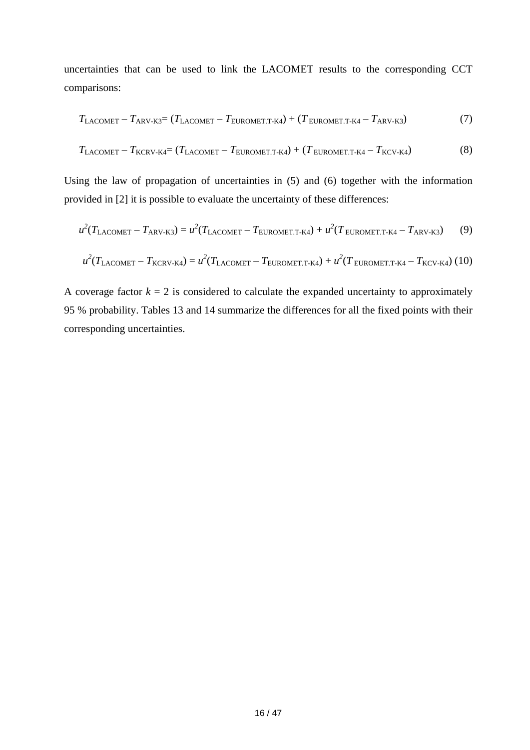uncertainties that can be used to link the LACOMET results to the corresponding CCT comparisons:

$$
T_{\text{LACOMET}} - T_{\text{ARV-K3}} = (T_{\text{LACOMET}} - T_{\text{EUROMET.T-K4}}) + (T_{\text{EUROMET.T-K4}} - T_{\text{ARV-K3}}) \tag{7}
$$

$$
T_{\text{LACOMET}} - T_{\text{KCRV-K4}} = (T_{\text{LACOMET}} - T_{\text{EUROMET.T-K4}}) + (T_{\text{EUROMET.T-K4}} - T_{\text{KCV-K4}})
$$
(8)

Using the law of propagation of uncertainties in (5) and (6) together with the information provided in [2] it is possible to evaluate the uncertainty of these differences:

$$
u^{2}(T_{\text{LACOMET}} - T_{\text{ARV-K3}}) = u^{2}(T_{\text{LACOMET}} - T_{\text{EUROMET.T-K4}}) + u^{2}(T_{\text{EUROMET.T-K4}} - T_{\text{ARV-K3}})
$$
(9)

$$
u^{2}(T_{\text{LACOMET}} - T_{\text{KCRV-K4}}) = u^{2}(T_{\text{LACOMET}} - T_{\text{EUROMET.T-K4}}) + u^{2}(T_{\text{EUROMET.T-K4}} - T_{\text{KCV-K4}}) (10)
$$

A coverage factor  $k = 2$  is considered to calculate the expanded uncertainty to approximately 95 % probability. Tables 13 and 14 summarize the differences for all the fixed points with their corresponding uncertainties.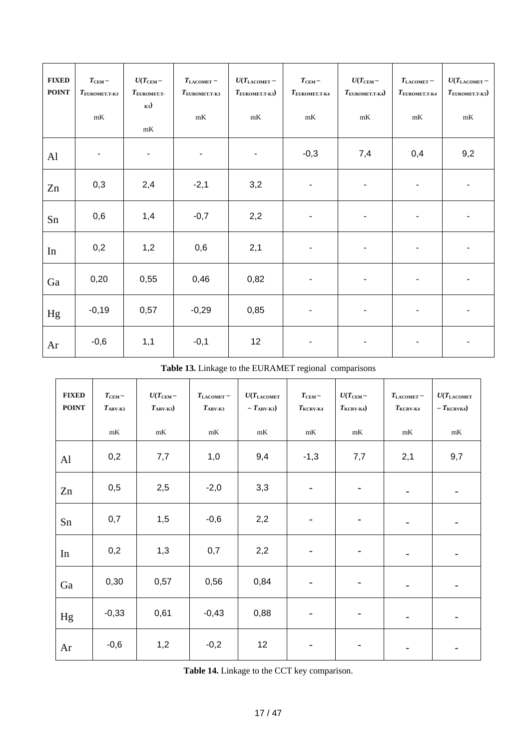| <b>FIXED</b><br><b>POINT</b> | $T_{\rm CEM}$ -<br>$T_{\text{EUROMET.T-K3}}$<br>mK | $U(T_{\rm CEM}-$<br>$T_{\text{EUROMET.T-}}$<br>K3)<br>mK | $T_{\rm LACOMET}$ –<br>$T_{\textrm{\tiny{EUROMET.T-K3}}}$<br>$\mathrm{m}\mathrm{K}$ | $U(T_{\rm LACOMET}$ –<br>$T_{\text{EUROMET.T-K3}})$<br>mK | $T_{\rm CEM}$ -<br>$T_{\text{EUROMET.T-K4}}$<br>$\mathrm{m}\mathrm{K}$ | $U(T_{\rm CEM}-$<br>$T_{\text{EUROMET.T-K4}})$<br>mK | $T_{\rm LACOMET}$ –<br>$T_{\text{EUROMET.T-K4}}$<br>$\mathrm{m}\mathrm{K}$ | $U(T_{\rm LACOMET}-$<br>$T_{\text{EUROMET.T-K3}})$<br>$\mathrm{m}\mathrm{K}$ |
|------------------------------|----------------------------------------------------|----------------------------------------------------------|-------------------------------------------------------------------------------------|-----------------------------------------------------------|------------------------------------------------------------------------|------------------------------------------------------|----------------------------------------------------------------------------|------------------------------------------------------------------------------|
| Al                           | $\blacksquare$                                     | $\blacksquare$                                           | ٠                                                                                   | ٠                                                         | $-0,3$                                                                 | 7,4                                                  | 0,4                                                                        | 9,2                                                                          |
| Zn                           | 0,3                                                | 2,4                                                      | $-2,1$                                                                              | 3,2                                                       | $\overline{\phantom{a}}$                                               | $\blacksquare$                                       |                                                                            | $\blacksquare$                                                               |
| Sn                           | 0,6                                                | 1,4                                                      | $-0,7$                                                                              | 2,2                                                       | $\blacksquare$                                                         | $\overline{\phantom{a}}$                             |                                                                            | ۰                                                                            |
| In                           | 0,2                                                | 1,2                                                      | 0,6                                                                                 | 2,1                                                       | $\overline{\phantom{a}}$                                               | $\blacksquare$                                       |                                                                            | ۰                                                                            |
| Ga                           | 0,20                                               | 0,55                                                     | 0,46                                                                                | 0,82                                                      | $\blacksquare$                                                         | $\blacksquare$                                       |                                                                            | -                                                                            |
| Hg                           | $-0,19$                                            | 0,57                                                     | $-0,29$                                                                             | 0,85                                                      | $\overline{\phantom{a}}$                                               | $\blacksquare$                                       |                                                                            | ٠                                                                            |
| Ar                           | $-0,6$                                             | 1,1                                                      | $-0,1$                                                                              | 12                                                        | $\blacksquare$                                                         | $\blacksquare$                                       | ٠                                                                          | $\blacksquare$                                                               |

**Table 13.** Linkage to the EURAMET regional comparisons

| <b>FIXED</b><br><b>POINT</b> | $T_{\rm CEM}$ –<br>$T_{\rm ARV-K3}$<br>$\mathrm{m}\mathrm{K}$ | $U(T_{\rm CEM}-$<br>$T_{\rm ARV-K3})$<br>mK | $T_{\text{LACOMET}}$ –<br>$T_{\rm ARV-K3}$<br>mK | $U(T_{\rm LACOMET}$<br>$-T_{\rm ARV-K3})$<br>mK | $T_{\rm CEM}$ –<br>$T_{\rm KCRV\text{-}K4}$<br>mK | $U(T_{\rm CEM}-$<br>$T_{\text{KCRV-K4}}$<br>mK | $T_{\rm LACOMET}$ –<br>$T_{\rm KCRV\text{-}K4}$<br>mK | $U(T_{\rm LACOMET}$<br>$-\mathit{T}_{\textrm{KCRVK4}})$<br>mK |
|------------------------------|---------------------------------------------------------------|---------------------------------------------|--------------------------------------------------|-------------------------------------------------|---------------------------------------------------|------------------------------------------------|-------------------------------------------------------|---------------------------------------------------------------|
| $\mathbf{Al}$                | 0,2                                                           | 7,7                                         | 1,0                                              | 9,4                                             | $-1,3$                                            | 7,7                                            | 2,1                                                   | 9,7                                                           |
| Zn                           | 0,5                                                           | 2,5                                         | $-2,0$                                           | 3,3                                             | $\overline{\phantom{0}}$                          | -                                              |                                                       |                                                               |
| Sn                           | 0,7                                                           | 1,5                                         | $-0,6$                                           | 2,2                                             | $\overline{\phantom{a}}$                          | -                                              |                                                       |                                                               |
| In                           | 0,2                                                           | 1,3                                         | 0,7                                              | 2,2                                             | $\overline{\phantom{a}}$                          | $\overline{\phantom{a}}$                       |                                                       |                                                               |
| Ga                           | 0,30                                                          | 0,57                                        | 0,56                                             | 0,84                                            | $\overline{\phantom{a}}$                          | -                                              |                                                       |                                                               |
| Hg                           | $-0,33$                                                       | 0,61                                        | $-0,43$                                          | 0,88                                            | $\overline{\phantom{a}}$                          | $\overline{\phantom{a}}$                       |                                                       |                                                               |
| Ar                           | $-0,6$                                                        | 1,2                                         | $-0,2$                                           | 12                                              | $\overline{\phantom{a}}$                          |                                                |                                                       |                                                               |

**Table 14.** Linkage to the CCT key comparison.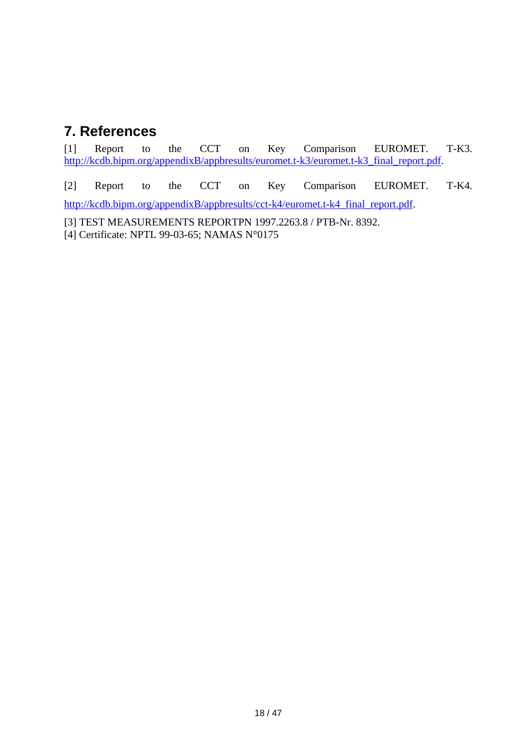# <span id="page-17-0"></span>**7. References**

[1] Report to the CCT on Key Comparison EUROMET. T-K3. [http://kcdb.bipm.org/appendixB/appbresults/euromet.t-k3/euromet.t-k3\\_final\\_report.pdf.](http://kcdb.bipm.org/appendixB/appbresults/euromet.t-k3/euromet.t-k3_final_report.pdf)

[2] Report to the CCT on Key Comparison EUROMET. T-K4. [http://kcdb.bipm.org/appendixB/appbresults/cct-k4/euromet.t-k4\\_final\\_report.pdf.](http://kcdb.bipm.org/appendixB/appbresults/cct-k4/euromet.t-k4_final_report.pdf)

[3] TEST MEASUREMENTS REPORTPN 1997.2263.8 / PTB-Nr. 8392. [4] Certificate: NPTL 99-03-65; NAMAS N°0175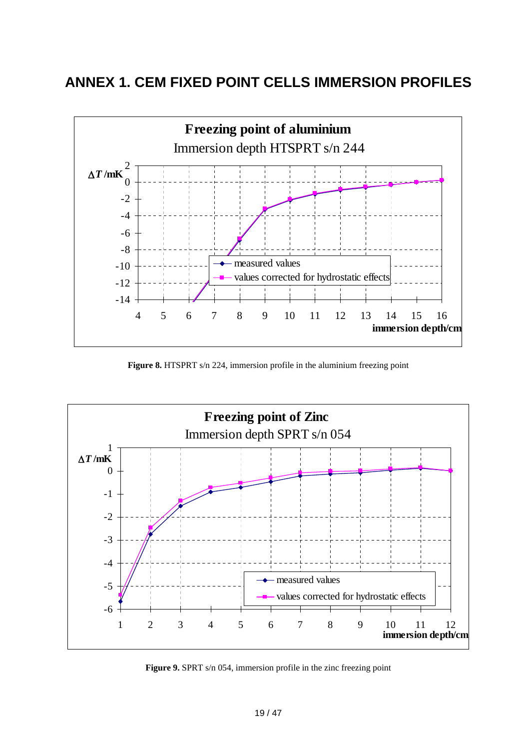# <span id="page-18-0"></span>**ANNEX 1. CEM FIXED POINT CELLS IMMERSION PROFILES**



**Figure 8.** HTSPRT s/n 224, immersion profile in the aluminium freezing point



**Figure 9.** SPRT s/n 054, immersion profile in the zinc freezing point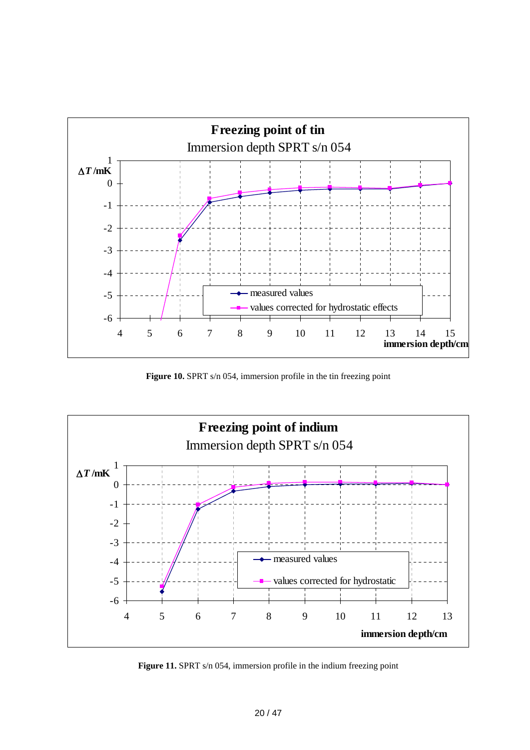

Figure 10. SPRT s/n 054, immersion profile in the tin freezing point



Figure 11. SPRT s/n 054, immersion profile in the indium freezing point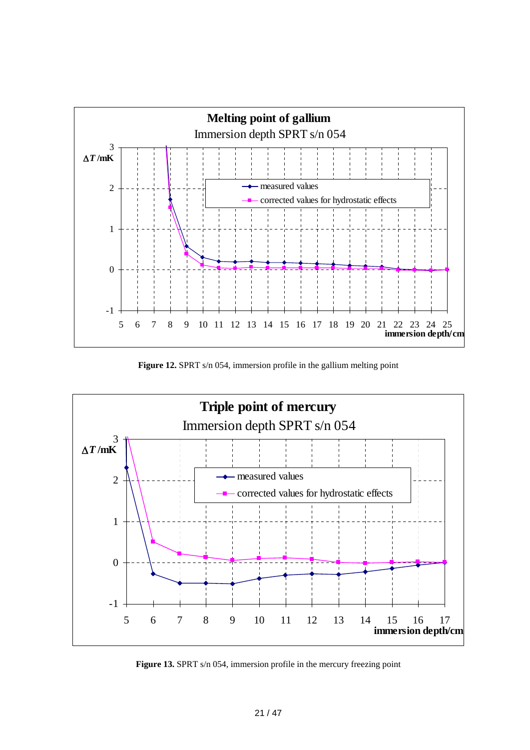

Figure 12. SPRT s/n 054, immersion profile in the gallium melting point



Figure 13. SPRT s/n 054, immersion profile in the mercury freezing point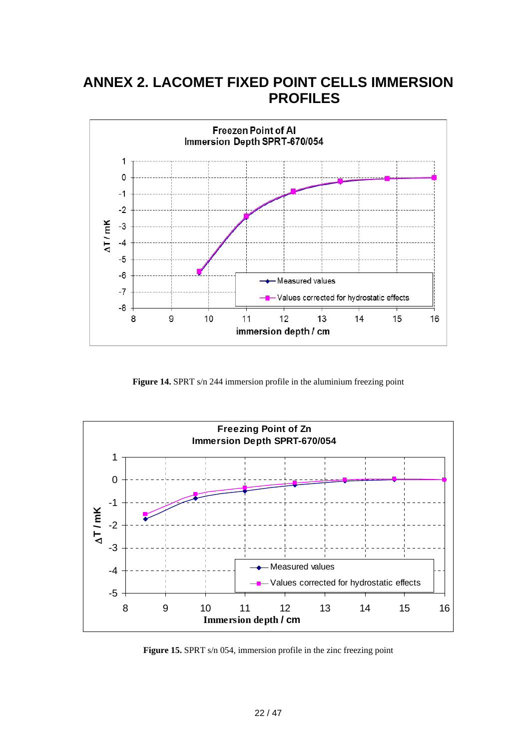# <span id="page-21-0"></span>**ANNEX 2. LACOMET FIXED POINT CELLS IMMERSION PROFILES**



Figure 14. SPRT s/n 244 immersion profile in the aluminium freezing point



**Figure 15.** SPRT s/n 054, immersion profile in the zinc freezing point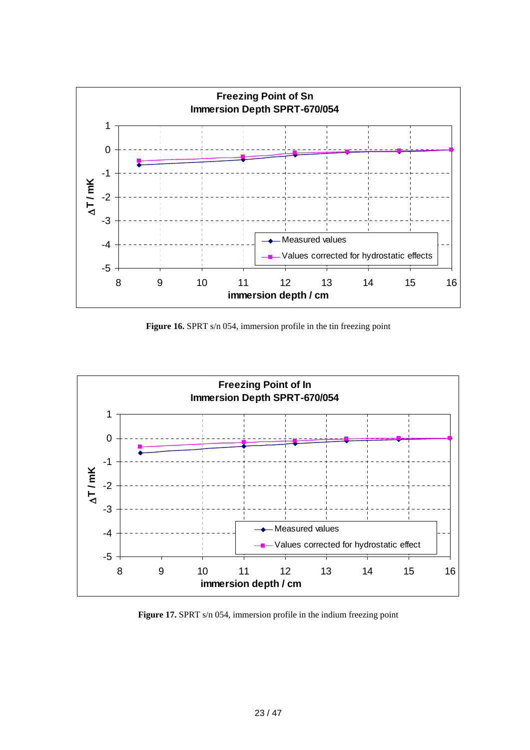

**Figure 16.** SPRT s/n 054, immersion profile in the tin freezing point



Figure 17. SPRT s/n 054, immersion profile in the indium freezing point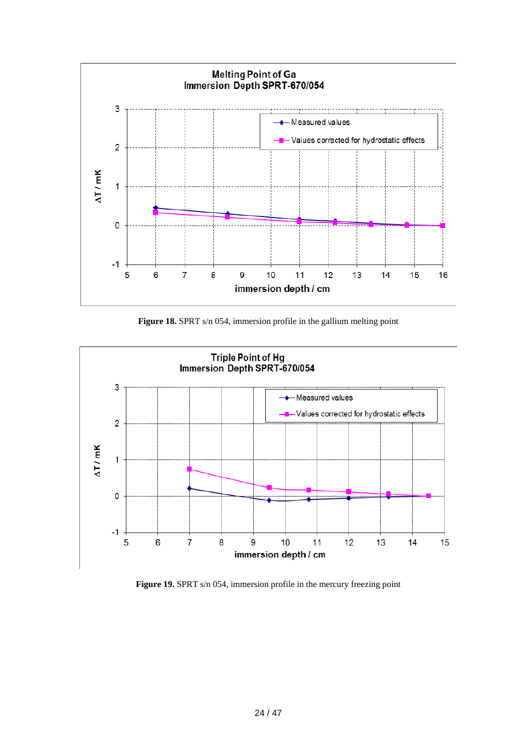

Figure 18. SPRT s/n 054, immersion profile in the gallium melting point



Figure 19. SPRT s/n 054, immersion profile in the mercury freezing point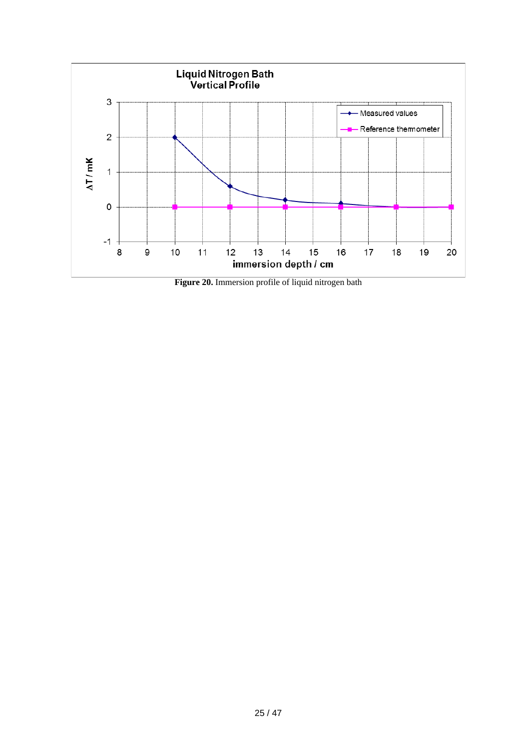

**Figure 20.** Immersion profile of liquid nitrogen bath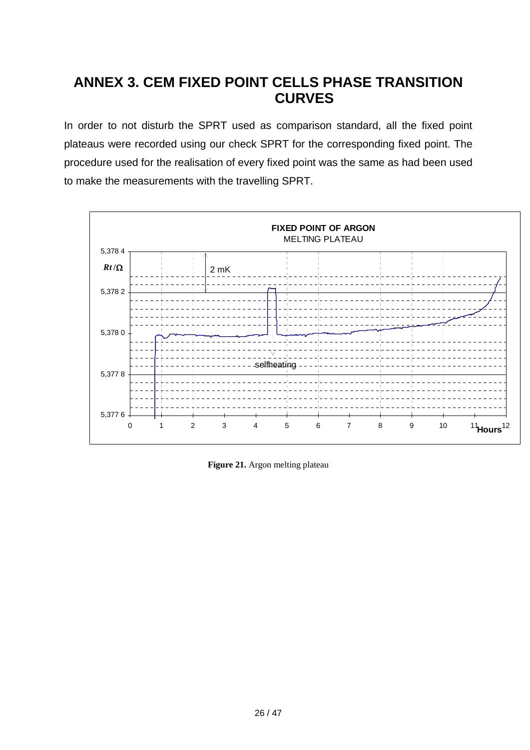# <span id="page-25-0"></span>**ANNEX 3. CEM FIXED POINT CELLS PHASE TRANSITION CURVES**

In order to not disturb the SPRT used as comparison standard, all the fixed point plateaus were recorded using our check SPRT for the corresponding fixed point. The procedure used for the realisation of every fixed point was the same as had been used to make the measurements with the travelling SPRT.



**Figure 21.** Argon melting plateau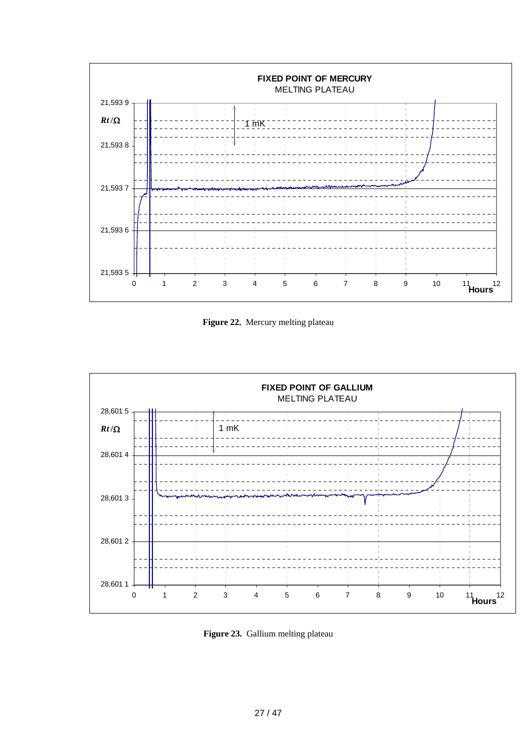

**Figure 22.** Mercury melting plateau



**Figure 23.** Gallium melting plateau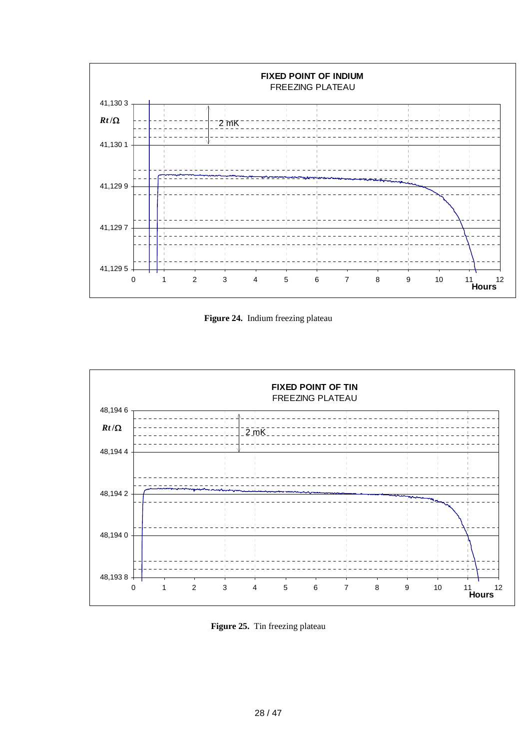

**Figure 24.** Indium freezing plateau



**Figure 25.** Tin freezing plateau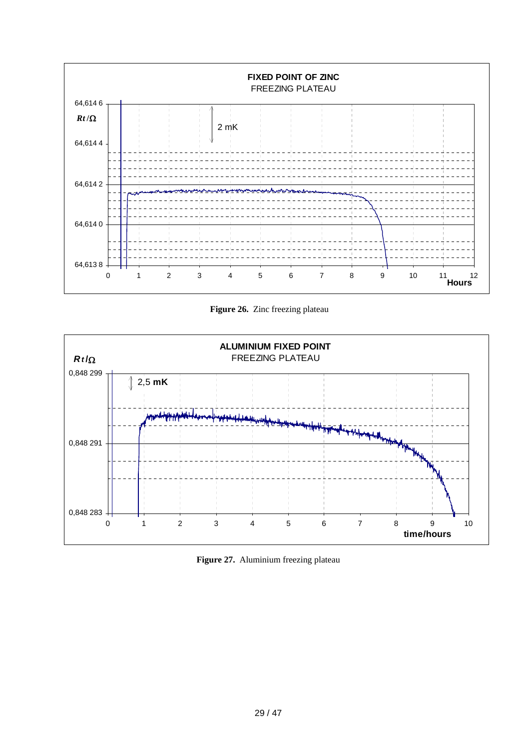

**Figure 26.** Zinc freezing plateau



**Figure 27.** Aluminium freezing plateau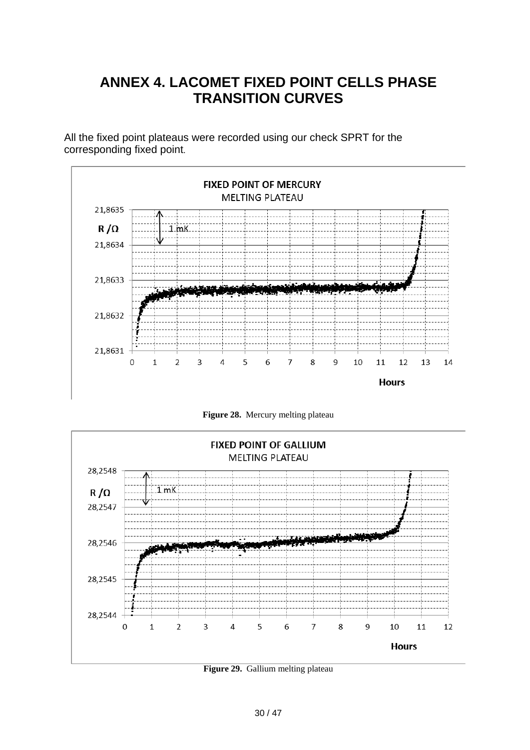# **ANNEX 4. LACOMET FIXED POINT CELLS PHASE TRANSITION CURVES**

<span id="page-29-0"></span>All the fixed point plateaus were recorded using our check SPRT for the corresponding fixed point.



**Figure 28.** Mercury melting plateau



**Figure 29.** Gallium melting plateau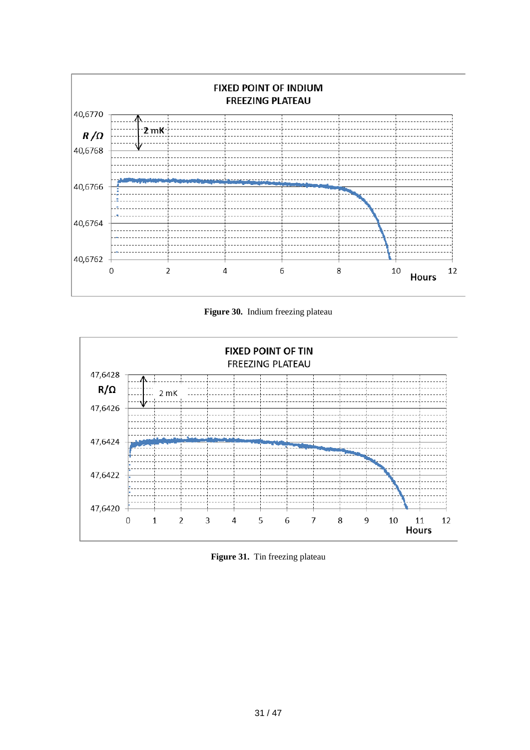

**Figure 30.** Indium freezing plateau



**Figure 31.** Tin freezing plateau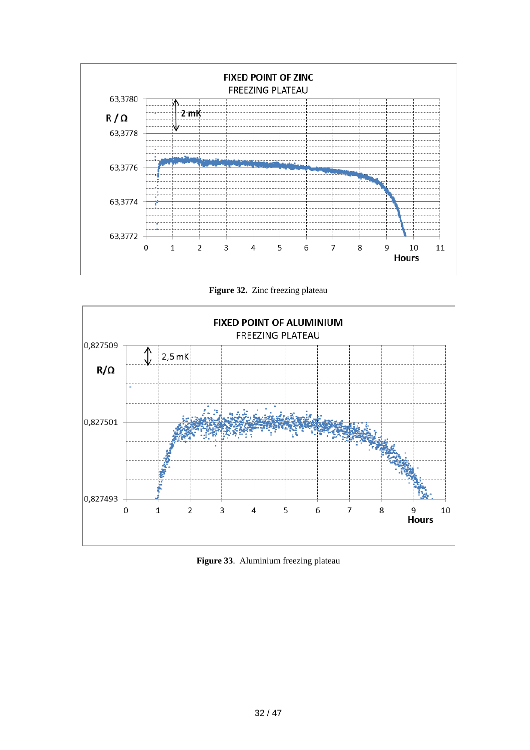

**Figure 32.** Zinc freezing plateau



**Figure 33**. Aluminium freezing plateau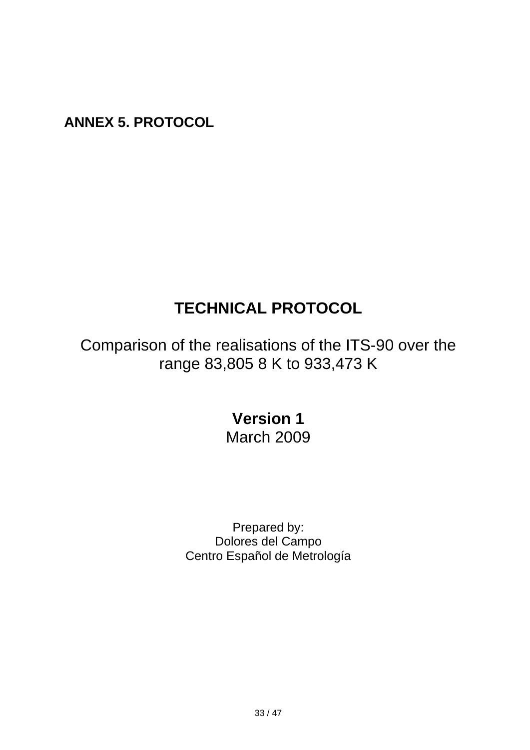<span id="page-32-0"></span>**ANNEX 5. PROTOCOL** 

# **TECHNICAL PROTOCOL**

Comparison of the realisations of the ITS-90 over the range 83,805 8 K to 933,473 K

# **Version 1**  March 2009

Prepared by: Dolores del Campo Centro Español de Metrología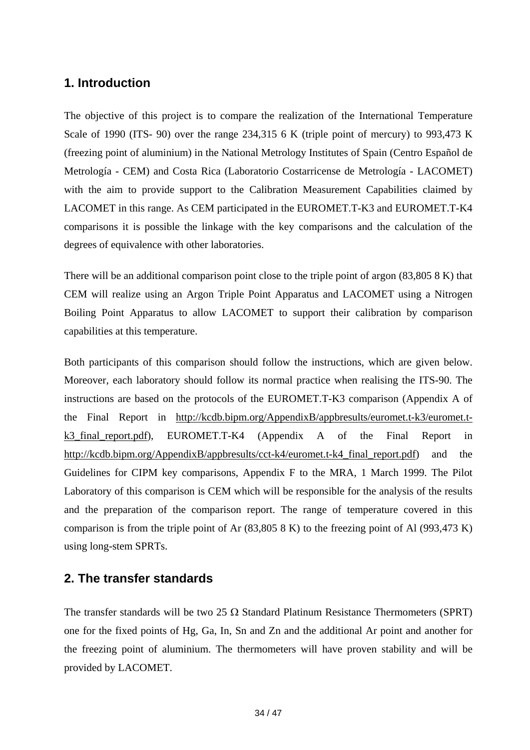## **1. Introduction**

The objective of this project is to compare the realization of the International Temperature Scale of 1990 (ITS- 90) over the range 234,315 6 K (triple point of mercury) to 993,473 K (freezing point of aluminium) in the National Metrology Institutes of Spain (Centro Español de Metrología - CEM) and Costa Rica (Laboratorio Costarricense de Metrología - LACOMET) with the aim to provide support to the Calibration Measurement Capabilities claimed by LACOMET in this range. As CEM participated in the EUROMET.T-K3 and EUROMET.T-K4 comparisons it is possible the linkage with the key comparisons and the calculation of the degrees of equivalence with other laboratories.

There will be an additional comparison point close to the triple point of argon (83,805 8 K) that CEM will realize using an Argon Triple Point Apparatus and LACOMET using a Nitrogen Boiling Point Apparatus to allow LACOMET to support their calibration by comparison capabilities at this temperature.

Both participants of this comparison should follow the instructions, which are given below. Moreover, each laboratory should follow its normal practice when realising the ITS-90. The instructions are based on the protocols of the EUROMET.T-K3 comparison (Appendix A of the Final Report in [http://kcdb.bipm.org/AppendixB/appbresults/euromet.t-k3/euromet.t](http://kcdb.bipm.org/AppendixB/appbresults/euromet.t-k3/euromet.t-k3_final_report.pdf)[k3\\_final\\_report.pdf\)](http://kcdb.bipm.org/AppendixB/appbresults/euromet.t-k3/euromet.t-k3_final_report.pdf), EUROMET.T-K4 (Appendix A of the Final Report in [http://kcdb.bipm.org/AppendixB/appbresults/cct-k4/euromet.t-k4\\_final\\_report.pdf](http://kcdb.bipm.org/AppendixB/appbresults/cct-k4/euromet.t-k4_final_report.pdf)) and the Guidelines for CIPM key comparisons, Appendix F to the MRA, 1 March 1999. The Pilot Laboratory of this comparison is CEM which will be responsible for the analysis of the results and the preparation of the comparison report. The range of temperature covered in this comparison is from the triple point of Ar (83,805 8 K) to the freezing point of Al (993,473 K) using long-stem SPRTs.

## **2. The transfer standards**

The transfer standards will be two 25  $\Omega$  Standard Platinum Resistance Thermometers (SPRT) one for the fixed points of Hg, Ga, In, Sn and Zn and the additional Ar point and another for the freezing point of aluminium. The thermometers will have proven stability and will be provided by LACOMET.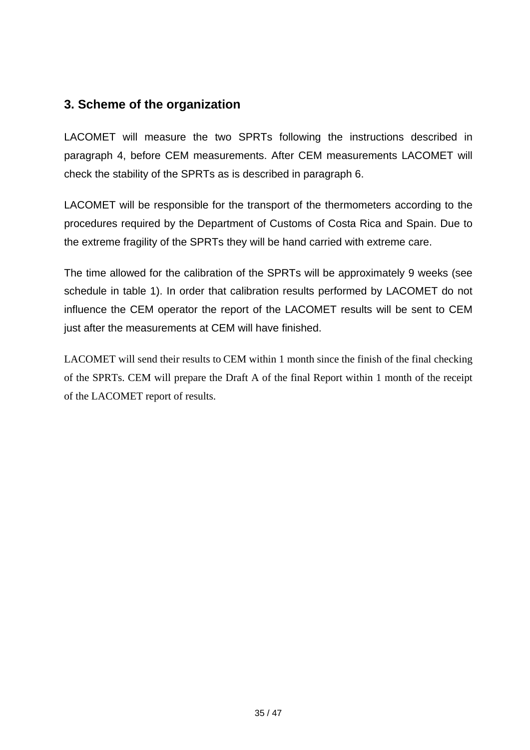## **3. Scheme of the organization**

LACOMET will measure the two SPRTs following the instructions described in paragraph 4, before CEM measurements. After CEM measurements LACOMET will check the stability of the SPRTs as is described in paragraph 6.

LACOMET will be responsible for the transport of the thermometers according to the procedures required by the Department of Customs of Costa Rica and Spain. Due to the extreme fragility of the SPRTs they will be hand carried with extreme care.

The time allowed for the calibration of the SPRTs will be approximately 9 weeks (see schedule in table 1). In order that calibration results performed by LACOMET do not influence the CEM operator the report of the LACOMET results will be sent to CEM just after the measurements at CEM will have finished.

LACOMET will send their results to CEM within 1 month since the finish of the final checking of the SPRTs. CEM will prepare the Draft A of the final Report within 1 month of the receipt of the LACOMET report of results.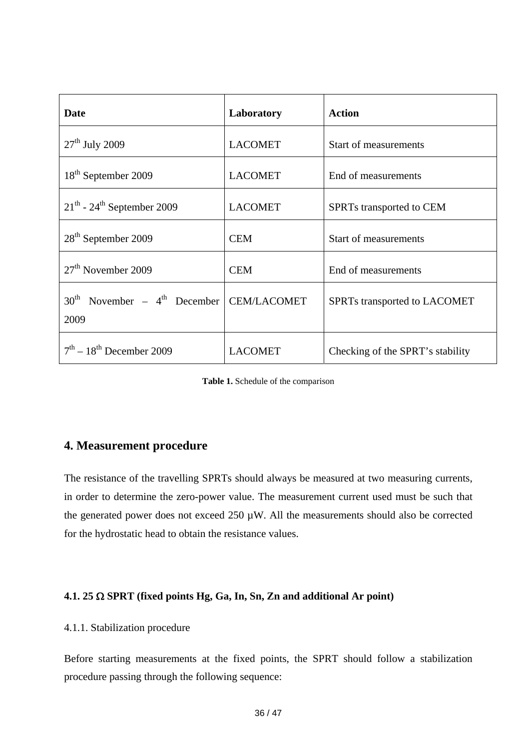| <b>Date</b>                                                | Laboratory     | <b>Action</b>                    |
|------------------------------------------------------------|----------------|----------------------------------|
| $27th$ July 2009                                           | <b>LACOMET</b> | Start of measurements            |
| 18 <sup>th</sup> September 2009                            | <b>LACOMET</b> | End of measurements              |
| $21th$ - 24 <sup>th</sup> September 2009                   | <b>LACOMET</b> | SPRTs transported to CEM         |
| $28th$ September 2009                                      | <b>CEM</b>     | Start of measurements            |
| $27th$ November 2009                                       | <b>CEM</b>     | End of measurements              |
| $30^{th}$ November – $4^{th}$ December CEM/LACOMET<br>2009 |                | SPRTs transported to LACOMET     |
| $7th - 18th$ December 2009                                 | <b>LACOMET</b> | Checking of the SPRT's stability |

**Table 1.** Schedule of the comparison

## **4. Measurement procedure**

The resistance of the travelling SPRTs should always be measured at two measuring currents, in order to determine the zero-power value. The measurement current used must be such that the generated power does not exceed  $250 \mu W$ . All the measurements should also be corrected for the hydrostatic head to obtain the resistance values.

#### **4.1. 25 SPRT (fixed points Hg, Ga, In, Sn, Zn and additional Ar point)**

#### 4.1.1. Stabilization procedure

Before starting measurements at the fixed points, the SPRT should follow a stabilization procedure passing through the following sequence: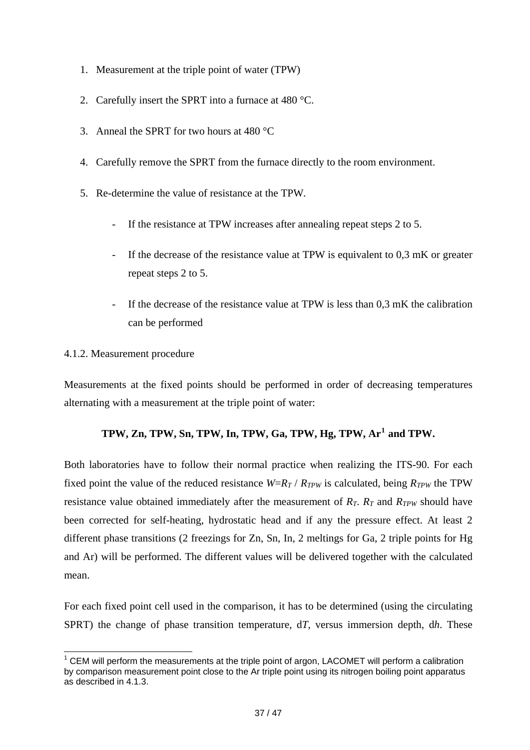- 1. Measurement at the triple point of water (TPW)
- 2. Carefully insert the SPRT into a furnace at 480 °C.
- 3. Anneal the SPRT for two hours at 480 °C
- 4. Carefully remove the SPRT from the furnace directly to the room environment.
- 5. Re-determine the value of resistance at the TPW.
	- If the resistance at TPW increases after annealing repeat steps 2 to 5.
	- If the decrease of the resistance value at TPW is equivalent to  $0.3 \text{ mK}$  or greater repeat steps 2 to 5.
	- If the decrease of the resistance value at TPW is less than 0,3 mK the calibration can be performed

#### 4.1.2. Measurement procedure

-

Measurements at the fixed points should be performed in order of decreasing temperatures alternating with a measurement at the triple point of water:

#### **TPW, Zn, TPW, Sn, TPW, In, TPW, Ga, TPW, Hg, TPW, Ar[1](#page-36-0) and TPW.**

Both laboratories have to follow their normal practice when realizing the ITS-90. For each fixed point the value of the reduced resistance  $W=R_T/R_{TPW}$  is calculated, being  $R_{TPW}$  the TPW resistance value obtained immediately after the measurement of  $R_T$ .  $R_T$  and  $R_{TPW}$  should have been corrected for self-heating, hydrostatic head and if any the pressure effect. At least 2 different phase transitions (2 freezings for Zn, Sn, In, 2 meltings for Ga, 2 triple points for Hg and Ar) will be performed. The different values will be delivered together with the calculated mean.

For each fixed point cell used in the comparison, it has to be determined (using the circulating SPRT) the change of phase transition temperature, d*T*, versus immersion depth, d*h*. These

<span id="page-36-0"></span> $1$  CEM will perform the measurements at the triple point of argon, LACOMET will perform a calibration by comparison measurement point close to the Ar triple point using its nitrogen boiling point apparatus as described in 4.1.3.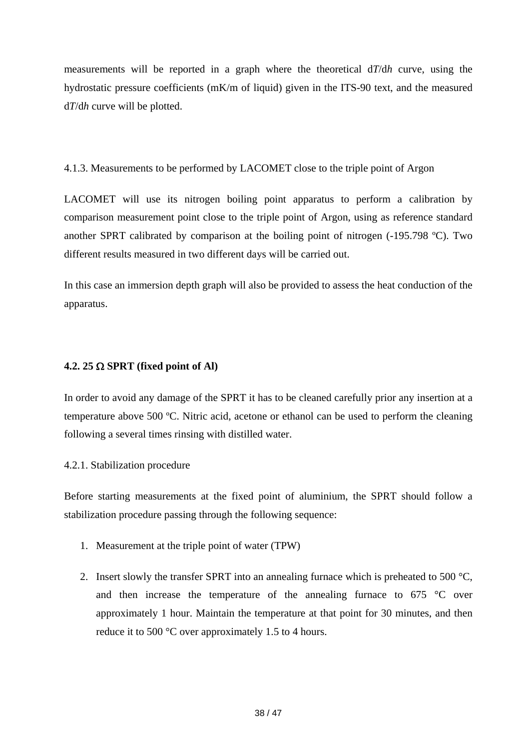measurements will be reported in a graph where the theoretical d*T*/d*h* curve, using the hydrostatic pressure coefficients (mK/m of liquid) given in the ITS-90 text, and the measured d*T*/d*h* curve will be plotted.

4.1.3. Measurements to be performed by LACOMET close to the triple point of Argon

LACOMET will use its nitrogen boiling point apparatus to perform a calibration by comparison measurement point close to the triple point of Argon, using as reference standard another SPRT calibrated by comparison at the boiling point of nitrogen (-195.798 ºC). Two different results measured in two different days will be carried out.

In this case an immersion depth graph will also be provided to assess the heat conduction of the apparatus.

#### **4.2. 25**  $\Omega$  **SPRT** (fixed point of Al)

In order to avoid any damage of the SPRT it has to be cleaned carefully prior any insertion at a temperature above 500 ºC. Nitric acid, acetone or ethanol can be used to perform the cleaning following a several times rinsing with distilled water.

#### 4.2.1. Stabilization procedure

Before starting measurements at the fixed point of aluminium, the SPRT should follow a stabilization procedure passing through the following sequence:

- 1. Measurement at the triple point of water (TPW)
- 2. Insert slowly the transfer SPRT into an annealing furnace which is preheated to 500  $\degree$ C, and then increase the temperature of the annealing furnace to 675 °C over approximately 1 hour. Maintain the temperature at that point for 30 minutes, and then reduce it to 500 °C over approximately 1.5 to 4 hours.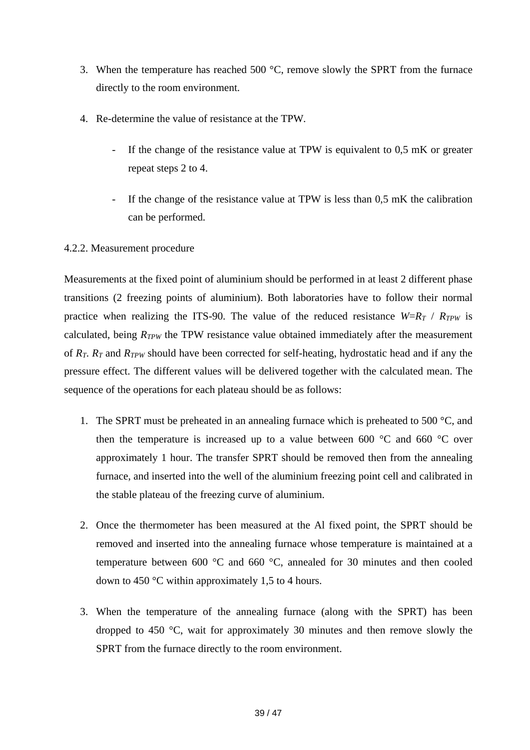- 3. When the temperature has reached 500 °C, remove slowly the SPRT from the furnace directly to the room environment.
- 4. Re-determine the value of resistance at the TPW.
	- If the change of the resistance value at TPW is equivalent to  $0.5 \text{ mK}$  or greater repeat steps 2 to 4.
	- If the change of the resistance value at  $TPW$  is less than  $0.5$  mK the calibration can be performed.

#### 4.2.2. Measurement procedure

Measurements at the fixed point of aluminium should be performed in at least 2 different phase transitions (2 freezing points of aluminium). Both laboratories have to follow their normal practice when realizing the ITS-90. The value of the reduced resistance  $W=R_T/R_{TPW}$  is calculated, being  $R_{TPW}$  the TPW resistance value obtained immediately after the measurement of *RT*. *RT* and *RTPW* should have been corrected for self-heating, hydrostatic head and if any the pressure effect. The different values will be delivered together with the calculated mean. The sequence of the operations for each plateau should be as follows:

- 1. The SPRT must be preheated in an annealing furnace which is preheated to 500  $\degree$ C, and then the temperature is increased up to a value between 600  $\degree$ C and 660  $\degree$ C over approximately 1 hour. The transfer SPRT should be removed then from the annealing furnace, and inserted into the well of the aluminium freezing point cell and calibrated in the stable plateau of the freezing curve of aluminium.
- 2. Once the thermometer has been measured at the Al fixed point, the SPRT should be removed and inserted into the annealing furnace whose temperature is maintained at a temperature between 600 °C and 660 °C, annealed for 30 minutes and then cooled down to 450 °C within approximately 1,5 to 4 hours.
- 3. When the temperature of the annealing furnace (along with the SPRT) has been dropped to 450 °C, wait for approximately 30 minutes and then remove slowly the SPRT from the furnace directly to the room environment.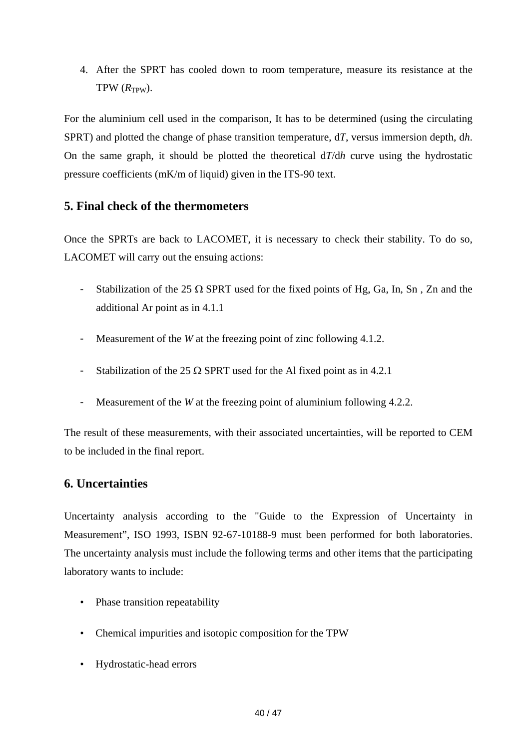4. After the SPRT has cooled down to room temperature, measure its resistance at the  $TPW(R_{TPW})$ .

For the aluminium cell used in the comparison, It has to be determined (using the circulating SPRT) and plotted the change of phase transition temperature, d*T*, versus immersion depth, d*h*. On the same graph, it should be plotted the theoretical d*T*/d*h* curve using the hydrostatic pressure coefficients (mK/m of liquid) given in the ITS-90 text.

## **5. Final check of the thermometers**

Once the SPRTs are back to LACOMET, it is necessary to check their stability. To do so, LACOMET will carry out the ensuing actions:

- Stabilization of the 25  $\Omega$  SPRT used for the fixed points of Hg, Ga, In, Sn, Zn and the additional Ar point as in 4.1.1
- Measurement of the *W* at the freezing point of zinc following 4.1.2.
- Stabilization of the 25  $\Omega$  SPRT used for the Al fixed point as in 4.2.1
- Measurement of the *W* at the freezing point of aluminium following 4.2.2.

The result of these measurements, with their associated uncertainties, will be reported to CEM to be included in the final report.

## **6. Uncertainties**

Uncertainty analysis according to the "Guide to the Expression of Uncertainty in Measurement", ISO 1993, ISBN 92-67-10188-9 must been performed for both laboratories. The uncertainty analysis must include the following terms and other items that the participating laboratory wants to include:

- Phase transition repeatability
- Chemical impurities and isotopic composition for the TPW
- Hydrostatic-head errors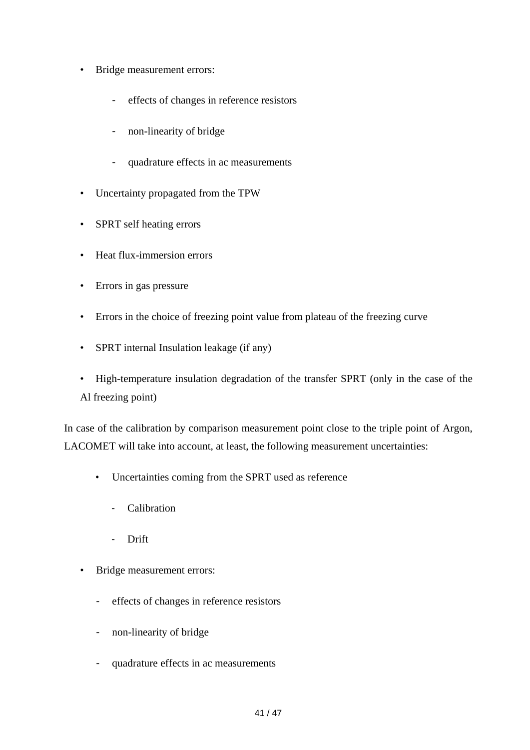- Bridge measurement errors:
	- effects of changes in reference resistors
	- non-linearity of bridge
	- quadrature effects in ac measurements
- Uncertainty propagated from the TPW
- SPRT self heating errors
- Heat flux-immersion errors
- Errors in gas pressure
- Errors in the choice of freezing point value from plateau of the freezing curve
- SPRT internal Insulation leakage (if any)
- High-temperature insulation degradation of the transfer SPRT (only in the case of the Al freezing point)

In case of the calibration by comparison measurement point close to the triple point of Argon, LACOMET will take into account, at least, the following measurement uncertainties:

- Uncertainties coming from the SPRT used as reference
	- Calibration
	- Drift
- Bridge measurement errors:
	- effects of changes in reference resistors
	- non-linearity of bridge
	- quadrature effects in ac measurements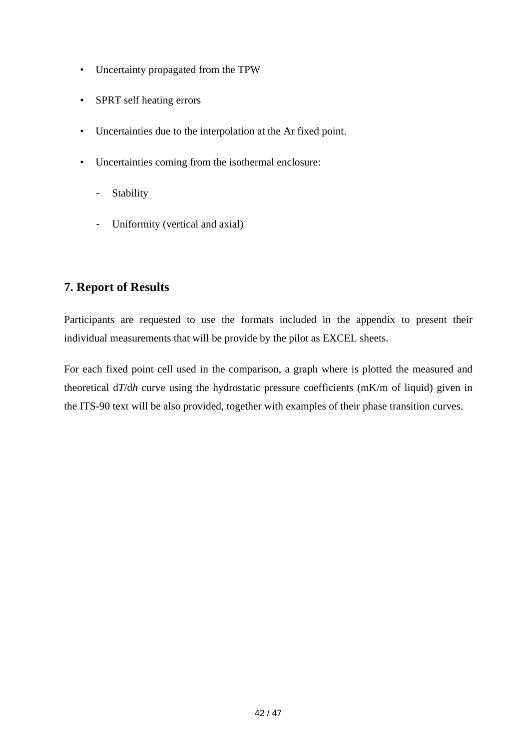- Uncertainty propagated from the TPW
- SPRT self heating errors
- Uncertainties due to the interpolation at the Ar fixed point.
- Uncertainties coming from the isothermal enclosure:
	- Stability
	- Uniformity (vertical and axial)

## **7. Report of Results**

Participants are requested to use the formats included in the appendix to present their individual measurements that will be provide by the pilot as EXCEL sheets.

For each fixed point cell used in the comparison, a graph where is plotted the measured and theoretical d*T*/d*h* curve using the hydrostatic pressure coefficients (mK/m of liquid) given in the ITS-90 text will be also provided, together with examples of their phase transition curves.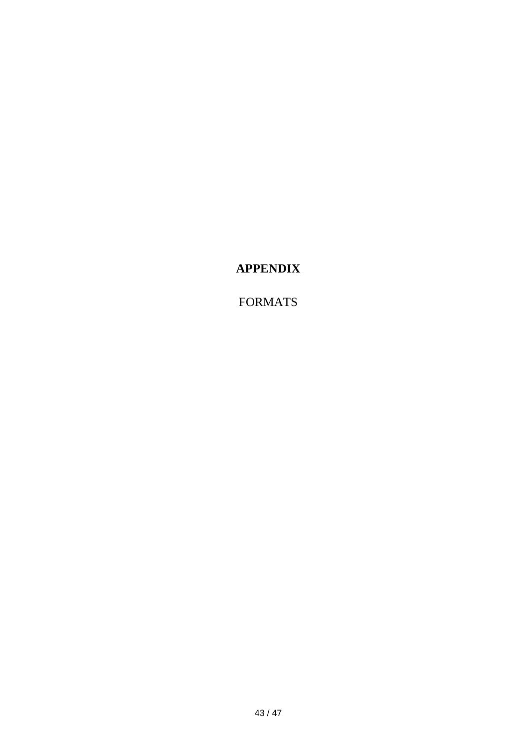# **APPENDIX**

# FORMATS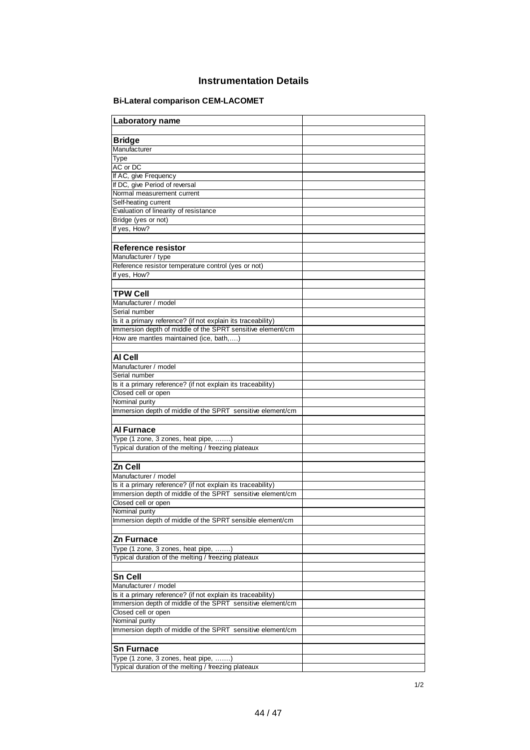#### **Instrumentation Details**

#### **Bi-Lateral comparison CEM-LACOMET**

| Laboratory name                                                                                                            |  |
|----------------------------------------------------------------------------------------------------------------------------|--|
|                                                                                                                            |  |
| <b>Bridge</b>                                                                                                              |  |
| Manufacturer                                                                                                               |  |
| Type                                                                                                                       |  |
| AC or DC                                                                                                                   |  |
| If AC, give Frequency                                                                                                      |  |
| If DC, give Period of reversal                                                                                             |  |
| Normal measurement current                                                                                                 |  |
| Self-heating current                                                                                                       |  |
| Evaluation of linearity of resistance                                                                                      |  |
| Bridge (yes or not)                                                                                                        |  |
| If yes, How?                                                                                                               |  |
|                                                                                                                            |  |
| Reference resistor                                                                                                         |  |
| Manufacturer / type                                                                                                        |  |
| Reference resistor temperature control (yes or not)                                                                        |  |
| If yes, How?                                                                                                               |  |
|                                                                                                                            |  |
| <b>TPW Cell</b>                                                                                                            |  |
| Manufacturer / model                                                                                                       |  |
| Serial number                                                                                                              |  |
| Is it a primary reference? (if not explain its traceability)                                                               |  |
| Immersion depth of middle of the SPRT sensitive element/cm                                                                 |  |
| How are mantles maintained (ice, bath,)                                                                                    |  |
|                                                                                                                            |  |
| AI Cell                                                                                                                    |  |
| Manufacturer / model                                                                                                       |  |
| Serial number                                                                                                              |  |
| Is it a primary reference? (if not explain its traceability)                                                               |  |
| Closed cell or open                                                                                                        |  |
| Nominal purity                                                                                                             |  |
| Immersion depth of middle of the SPRT sensitive element/cm                                                                 |  |
|                                                                                                                            |  |
| Al Furnace                                                                                                                 |  |
| Type (1 zone, 3 zones, heat pipe, )                                                                                        |  |
| Typical duration of the melting / freezing plateaux                                                                        |  |
|                                                                                                                            |  |
| Zn Cell                                                                                                                    |  |
| Manufacturer / model                                                                                                       |  |
| Is it a primary reference? (if not explain its traceability)                                                               |  |
| Immersion depth of middle of the SPRT sensitive element/cm                                                                 |  |
| Closed cell or open                                                                                                        |  |
| Nominal purity                                                                                                             |  |
| Immersion depth of middle of the SPRT sensible element/cm                                                                  |  |
|                                                                                                                            |  |
| Zn Furnace                                                                                                                 |  |
| Type (1 zone, 3 zones, heat pipe, )                                                                                        |  |
| Typical duration of the melting / freezing plateaux                                                                        |  |
|                                                                                                                            |  |
| <b>Sn Cell</b>                                                                                                             |  |
| Manufacturer / model                                                                                                       |  |
|                                                                                                                            |  |
| Is it a primary reference? (if not explain its traceability)<br>Immersion depth of middle of the SPRT sensitive element/cm |  |
| Closed cell or open                                                                                                        |  |
| Nominal purity                                                                                                             |  |
| Immersion depth of middle of the SPRT sensitive element/cm                                                                 |  |
|                                                                                                                            |  |
|                                                                                                                            |  |
| <b>Sn Furnace</b>                                                                                                          |  |
| Type (1 zone, 3 zones, heat pipe, )                                                                                        |  |
| Typical duration of the melting / freezing plateaux                                                                        |  |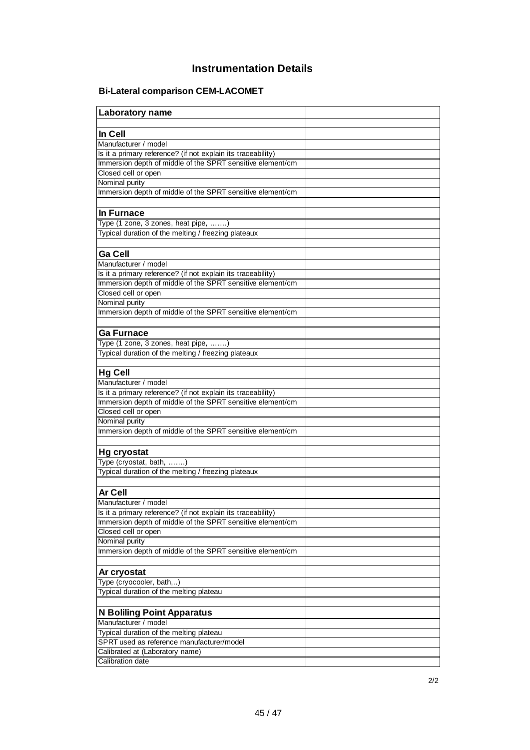## **Instrumentation Details**

#### **Bi-Lateral comparison CEM-LACOMET**

| Laboratory name                                                                                                            |  |
|----------------------------------------------------------------------------------------------------------------------------|--|
|                                                                                                                            |  |
| In Cell                                                                                                                    |  |
| Manufacturer / model                                                                                                       |  |
| Is it a primary reference? (if not explain its traceability)                                                               |  |
| Immersion depth of middle of the SPRT sensitive element/cm                                                                 |  |
| Closed cell or open                                                                                                        |  |
| Nominal purity                                                                                                             |  |
| Immersion depth of middle of the SPRT sensitive element/cm                                                                 |  |
|                                                                                                                            |  |
| <b>In Furnace</b>                                                                                                          |  |
| Type (1 zone, 3 zones, heat pipe, )                                                                                        |  |
| Typical duration of the melting / freezing plateaux                                                                        |  |
|                                                                                                                            |  |
| <b>Ga Cell</b>                                                                                                             |  |
| Manufacturer / model                                                                                                       |  |
| Is it a primary reference? (if not explain its traceability)                                                               |  |
| Immersion depth of middle of the SPRT sensitive element/cm                                                                 |  |
| Closed cell or open                                                                                                        |  |
| Nominal purity                                                                                                             |  |
| Immersion depth of middle of the SPRT sensitive element/cm                                                                 |  |
|                                                                                                                            |  |
| Ga Furnace                                                                                                                 |  |
| Type (1 zone, 3 zones, heat pipe, )                                                                                        |  |
| Typical duration of the melting / freezing plateaux                                                                        |  |
|                                                                                                                            |  |
| <b>Hg Cell</b>                                                                                                             |  |
| Manufacturer / model                                                                                                       |  |
|                                                                                                                            |  |
| Is it a primary reference? (if not explain its traceability)<br>Immersion depth of middle of the SPRT sensitive element/cm |  |
| Closed cell or open                                                                                                        |  |
|                                                                                                                            |  |
| Nominal purity<br>Immersion depth of middle of the SPRT sensitive element/cm                                               |  |
|                                                                                                                            |  |
|                                                                                                                            |  |
| Hg cryostat                                                                                                                |  |
| Type (cryostat, bath, )                                                                                                    |  |
| Typical duration of the melting / freezing plateaux                                                                        |  |
|                                                                                                                            |  |
| <b>Ar Cell</b>                                                                                                             |  |
| Manufacturer / model                                                                                                       |  |
| Is it a primary reference? (if not explain its traceability)                                                               |  |
| Immersion depth of middle of the SPRT sensitive element/cm                                                                 |  |
| Closed cell or open                                                                                                        |  |
| Nominal purity                                                                                                             |  |
| Immersion depth of middle of the SPRT sensitive element/cm                                                                 |  |
|                                                                                                                            |  |
| Ar cryostat                                                                                                                |  |
| Type (cryocooler, bath,)                                                                                                   |  |
| Typical duration of the melting plateau                                                                                    |  |
|                                                                                                                            |  |
| N Boliling Point Apparatus                                                                                                 |  |
| Manufacturer / model                                                                                                       |  |
| Typical duration of the melting plateau                                                                                    |  |
| SPRT used as reference manufacturer/model                                                                                  |  |
| Calibrated at (Laboratory name)                                                                                            |  |
| Calibration date                                                                                                           |  |
|                                                                                                                            |  |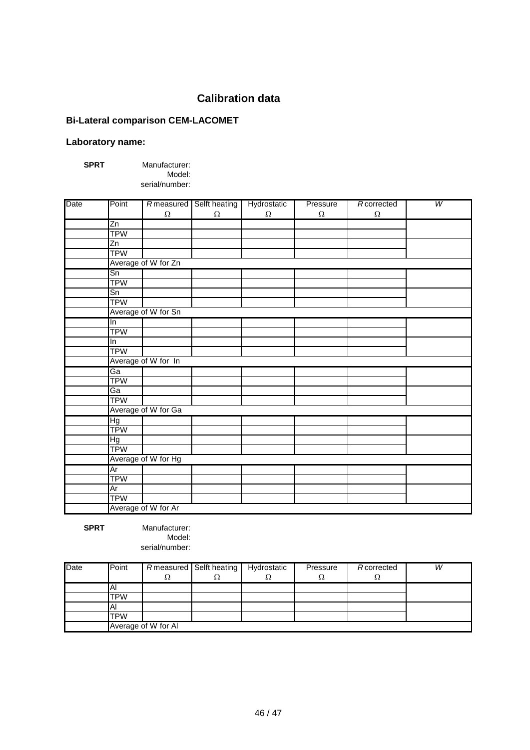## **Calibration data**

#### **Bi-Lateral comparison CEM-LACOMET**

#### **Laboratory name:**

**SPRT** Manufacturer:

Model: serial/number:

| Date | Point           |                     | Rmeasured Selft heating | Hydrostatic | Pressure | Rcorrected | $\overline{W}$ |
|------|-----------------|---------------------|-------------------------|-------------|----------|------------|----------------|
|      |                 | $\Omega$            | $\Omega$                | $\Omega$    | $\Omega$ | $\Omega$   |                |
|      | Zn              |                     |                         |             |          |            |                |
|      | <b>TPW</b>      |                     |                         |             |          |            |                |
|      | $\overline{Zn}$ |                     |                         |             |          |            |                |
|      | <b>TPW</b>      |                     |                         |             |          |            |                |
|      |                 | Average of W for Zn |                         |             |          |            |                |
|      | Sn              |                     |                         |             |          |            |                |
|      | <b>TPW</b>      |                     |                         |             |          |            |                |
|      | Sn              |                     |                         |             |          |            |                |
|      | <b>TPW</b>      |                     |                         |             |          |            |                |
|      |                 | Average of W for Sn |                         |             |          |            |                |
|      | In              |                     |                         |             |          |            |                |
|      | <b>TPW</b>      |                     |                         |             |          |            |                |
|      | In              |                     |                         |             |          |            |                |
|      | <b>TPW</b>      |                     |                         |             |          |            |                |
|      |                 | Average of W for In |                         |             |          |            |                |
|      | Ga              |                     |                         |             |          |            |                |
|      | <b>TPW</b>      |                     |                         |             |          |            |                |
|      | Ga              |                     |                         |             |          |            |                |
|      | <b>TPW</b>      |                     |                         |             |          |            |                |
|      |                 | Average of W for Ga |                         |             |          |            |                |
|      | Hg              |                     |                         |             |          |            |                |
|      | <b>TPW</b>      |                     |                         |             |          |            |                |
|      | БH              |                     |                         |             |          |            |                |
|      | <b>TPW</b>      |                     |                         |             |          |            |                |
|      |                 | Average of W for Hg |                         |             |          |            |                |
|      | Ar              |                     |                         |             |          |            |                |
|      | <b>TPW</b>      |                     |                         |             |          |            |                |
|      | Ar              |                     |                         |             |          |            |                |
|      | <b>TPW</b>      |                     |                         |             |          |            |                |
|      |                 | Average of W for Ar |                         |             |          |            |                |

**SPRT** Manufacturer: Model: serial/number:

Date **Point | Rmeasured Selft heating | Hydrostatic | Pressure | Rcorrected | W**  $\Omega$   $\Omega$   $\Omega$   $\Omega$   $\Omega$ Al TPW Al TPW Average of W for Al